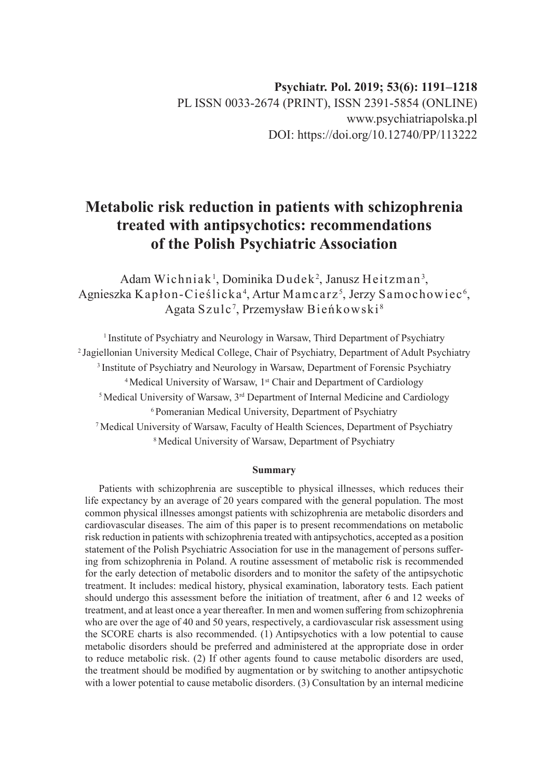# **Metabolic risk reduction in patients with schizophrenia treated with antipsychotics: recommendations of the Polish Psychiatric Association**

Adam Wichniak<sup>1</sup>, Dominika Dudek<sup>2</sup>, Janusz Heitzman<sup>3</sup>, Agnieszka Kapłon-Cieślicka<sup>4</sup>, Artur Mamcarz<sup>5</sup>, Jerzy Samochowiec<sup>6</sup>, Agata Szulc<sup>7</sup>, Przemysław Bieńkowski $^{\rm 8}$ 

<sup>1</sup> Institute of Psychiatry and Neurology in Warsaw, Third Department of Psychiatry <sup>2</sup> Jagiellonian University Medical College, Chair of Psychiatry, Department of Adult Psychiatry 3 Institute of Psychiatry and Neurology in Warsaw, Department of Forensic Psychiatry <sup>4</sup> Medical University of Warsaw, 1<sup>st</sup> Chair and Department of Cardiology <sup>5</sup> Medical University of Warsaw, 3<sup>rd</sup> Department of Internal Medicine and Cardiology 6 Pomeranian Medical University, Department of Psychiatry 7 Medical University of Warsaw, Faculty of Health Sciences, Department of Psychiatry 8 Medical University of Warsaw, Department of Psychiatry

#### **Summary**

Patients with schizophrenia are susceptible to physical illnesses, which reduces their life expectancy by an average of 20 years compared with the general population. The most common physical illnesses amongst patients with schizophrenia are metabolic disorders and cardiovascular diseases. The aim of this paper is to present recommendations on metabolic risk reduction in patients with schizophrenia treated with antipsychotics, accepted as a position statement of the Polish Psychiatric Association for use in the management of persons suffering from schizophrenia in Poland. A routine assessment of metabolic risk is recommended for the early detection of metabolic disorders and to monitor the safety of the antipsychotic treatment. It includes: medical history, physical examination, laboratory tests. Each patient should undergo this assessment before the initiation of treatment, after 6 and 12 weeks of treatment, and at least once a year thereafter. In men and women suffering from schizophrenia who are over the age of 40 and 50 years, respectively, a cardiovascular risk assessment using the SCORE charts is also recommended. (1) Antipsychotics with a low potential to cause metabolic disorders should be preferred and administered at the appropriate dose in order to reduce metabolic risk. (2) If other agents found to cause metabolic disorders are used, the treatment should be modified by augmentation or by switching to another antipsychotic with a lower potential to cause metabolic disorders. (3) Consultation by an internal medicine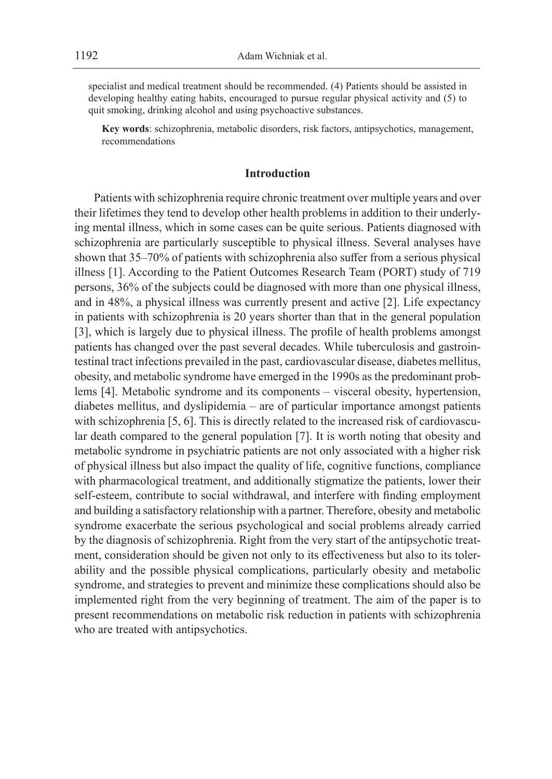specialist and medical treatment should be recommended. (4) Patients should be assisted in developing healthy eating habits, encouraged to pursue regular physical activity and (5) to quit smoking, drinking alcohol and using psychoactive substances.

**Key words**: schizophrenia, metabolic disorders, risk factors, antipsychotics, management, recommendations

## **Introduction**

Patients with schizophrenia require chronic treatment over multiple years and over their lifetimes they tend to develop other health problems in addition to their underlying mental illness, which in some cases can be quite serious. Patients diagnosed with schizophrenia are particularly susceptible to physical illness. Several analyses have shown that 35–70% of patients with schizophrenia also suffer from a serious physical illness [1]. According to the Patient Outcomes Research Team (PORT) study of 719 persons, 36% of the subjects could be diagnosed with more than one physical illness, and in 48%, a physical illness was currently present and active [2]. Life expectancy in patients with schizophrenia is 20 years shorter than that in the general population [3], which is largely due to physical illness. The profile of health problems amongst patients has changed over the past several decades. While tuberculosis and gastrointestinal tract infections prevailed in the past, cardiovascular disease, diabetes mellitus, obesity, and metabolic syndrome have emerged in the 1990s as the predominant problems [4]. Metabolic syndrome and its components – visceral obesity, hypertension, diabetes mellitus, and dyslipidemia – are of particular importance amongst patients with schizophrenia [5, 6]. This is directly related to the increased risk of cardiovascular death compared to the general population [7]. It is worth noting that obesity and metabolic syndrome in psychiatric patients are not only associated with a higher risk of physical illness but also impact the quality of life, cognitive functions, compliance with pharmacological treatment, and additionally stigmatize the patients, lower their self-esteem, contribute to social withdrawal, and interfere with finding employment and building a satisfactory relationship with a partner. Therefore, obesity and metabolic syndrome exacerbate the serious psychological and social problems already carried by the diagnosis of schizophrenia. Right from the very start of the antipsychotic treatment, consideration should be given not only to its effectiveness but also to its tolerability and the possible physical complications, particularly obesity and metabolic syndrome, and strategies to prevent and minimize these complications should also be implemented right from the very beginning of treatment. The aim of the paper is to present recommendations on metabolic risk reduction in patients with schizophrenia who are treated with antipsychotics.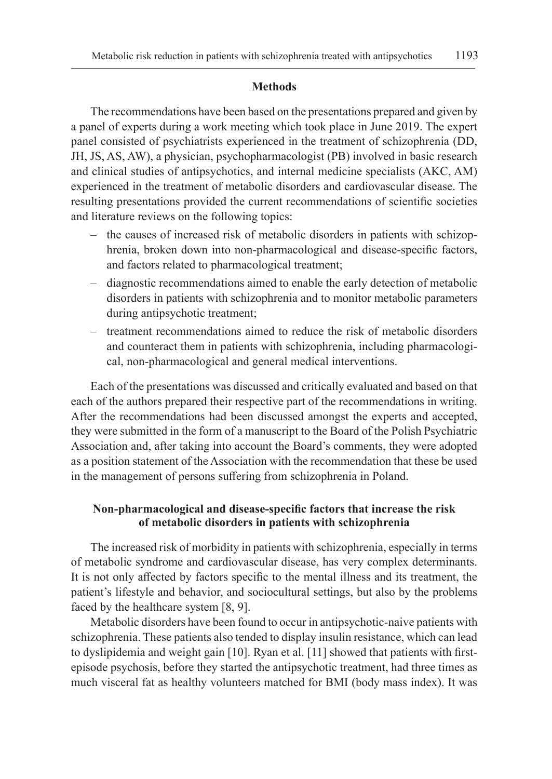#### **Methods**

The recommendations have been based on the presentations prepared and given by a panel of experts during a work meeting which took place in June 2019. The expert panel consisted of psychiatrists experienced in the treatment of schizophrenia (DD, JH, JS, AS, AW), a physician, psychopharmacologist (PB) involved in basic research and clinical studies of antipsychotics, and internal medicine specialists (AKC, AM) experienced in the treatment of metabolic disorders and cardiovascular disease. The resulting presentations provided the current recommendations of scientific societies and literature reviews on the following topics:

- the causes of increased risk of metabolic disorders in patients with schizophrenia, broken down into non-pharmacological and disease-specific factors, and factors related to pharmacological treatment;
- diagnostic recommendations aimed to enable the early detection of metabolic disorders in patients with schizophrenia and to monitor metabolic parameters during antipsychotic treatment;
- treatment recommendations aimed to reduce the risk of metabolic disorders and counteract them in patients with schizophrenia, including pharmacological, non-pharmacological and general medical interventions.

Each of the presentations was discussed and critically evaluated and based on that each of the authors prepared their respective part of the recommendations in writing. After the recommendations had been discussed amongst the experts and accepted, they were submitted in the form of a manuscript to the Board of the Polish Psychiatric Association and, after taking into account the Board's comments, they were adopted as a position statement of the Association with the recommendation that these be used in the management of persons suffering from schizophrenia in Poland.

## **Non-pharmacological and disease-specific factors that increase the risk of metabolic disorders in patients with schizophrenia**

The increased risk of morbidity in patients with schizophrenia, especially in terms of metabolic syndrome and cardiovascular disease, has very complex determinants. It is not only affected by factors specific to the mental illness and its treatment, the patient's lifestyle and behavior, and sociocultural settings, but also by the problems faced by the healthcare system [8, 9].

Metabolic disorders have been found to occur in antipsychotic-naive patients with schizophrenia. These patients also tended to display insulin resistance, which can lead to dyslipidemia and weight gain [10]. Ryan et al. [11] showed that patients with firstepisode psychosis, before they started the antipsychotic treatment, had three times as much visceral fat as healthy volunteers matched for BMI (body mass index). It was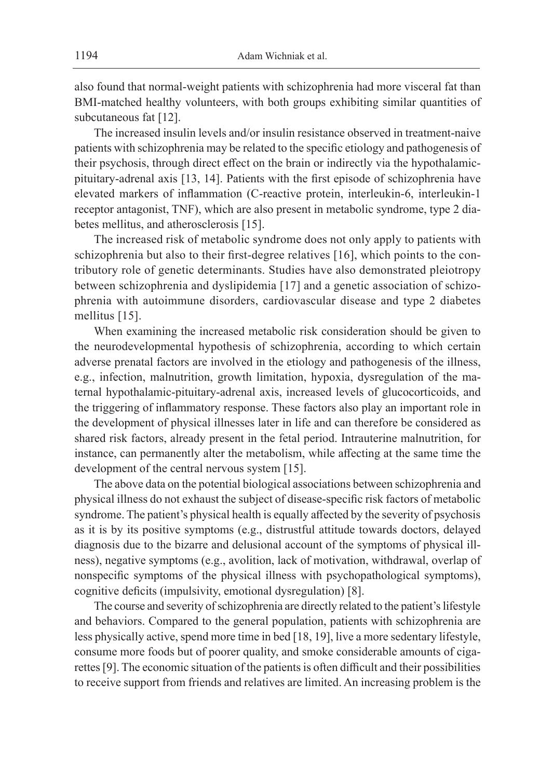also found that normal-weight patients with schizophrenia had more visceral fat than BMI-matched healthy volunteers, with both groups exhibiting similar quantities of subcutaneous fat [12].

The increased insulin levels and/or insulin resistance observed in treatment-naive patients with schizophrenia may be related to the specific etiology and pathogenesis of their psychosis, through direct effect on the brain or indirectly via the hypothalamicpituitary-adrenal axis [13, 14]. Patients with the first episode of schizophrenia have elevated markers of inflammation (C-reactive protein, interleukin-6, interleukin-1 receptor antagonist, TNF), which are also present in metabolic syndrome, type 2 diabetes mellitus, and atherosclerosis [15].

The increased risk of metabolic syndrome does not only apply to patients with schizophrenia but also to their first-degree relatives [16], which points to the contributory role of genetic determinants. Studies have also demonstrated pleiotropy between schizophrenia and dyslipidemia [17] and a genetic association of schizophrenia with autoimmune disorders, cardiovascular disease and type 2 diabetes mellitus [15].

When examining the increased metabolic risk consideration should be given to the neurodevelopmental hypothesis of schizophrenia, according to which certain adverse prenatal factors are involved in the etiology and pathogenesis of the illness, e.g., infection, malnutrition, growth limitation, hypoxia, dysregulation of the maternal hypothalamic-pituitary-adrenal axis, increased levels of glucocorticoids, and the triggering of inflammatory response. These factors also play an important role in the development of physical illnesses later in life and can therefore be considered as shared risk factors, already present in the fetal period. Intrauterine malnutrition, for instance, can permanently alter the metabolism, while affecting at the same time the development of the central nervous system [15].

The above data on the potential biological associations between schizophrenia and physical illness do not exhaust the subject of disease-specific risk factors of metabolic syndrome. The patient's physical health is equally affected by the severity of psychosis as it is by its positive symptoms (e.g., distrustful attitude towards doctors, delayed diagnosis due to the bizarre and delusional account of the symptoms of physical illness), negative symptoms (e.g., avolition, lack of motivation, withdrawal, overlap of nonspecific symptoms of the physical illness with psychopathological symptoms), cognitive deficits (impulsivity, emotional dysregulation) [8].

The course and severity of schizophrenia are directly related to the patient's lifestyle and behaviors. Compared to the general population, patients with schizophrenia are less physically active, spend more time in bed [18, 19], live a more sedentary lifestyle, consume more foods but of poorer quality, and smoke considerable amounts of cigarettes [9]. The economic situation of the patients is often difficult and their possibilities to receive support from friends and relatives are limited. An increasing problem is the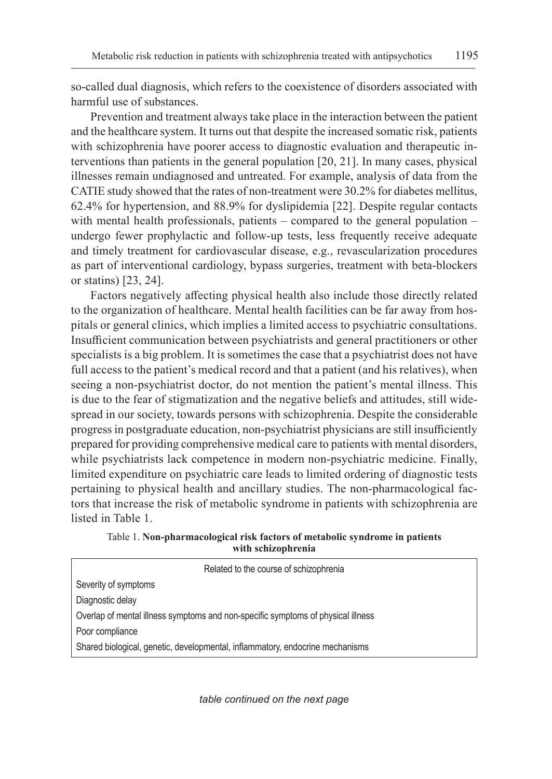so-called dual diagnosis, which refers to the coexistence of disorders associated with harmful use of substances.

Prevention and treatment always take place in the interaction between the patient and the healthcare system. It turns out that despite the increased somatic risk, patients with schizophrenia have poorer access to diagnostic evaluation and therapeutic interventions than patients in the general population [20, 21]. In many cases, physical illnesses remain undiagnosed and untreated. For example, analysis of data from the CATIE study showed that the rates of non-treatment were 30.2% for diabetes mellitus, 62.4% for hypertension, and 88.9% for dyslipidemia [22]. Despite regular contacts with mental health professionals, patients – compared to the general population – undergo fewer prophylactic and follow-up tests, less frequently receive adequate and timely treatment for cardiovascular disease, e.g., revascularization procedures as part of interventional cardiology, bypass surgeries, treatment with beta-blockers or statins) [23, 24].

Factors negatively affecting physical health also include those directly related to the organization of healthcare. Mental health facilities can be far away from hospitals or general clinics, which implies a limited access to psychiatric consultations. Insufficient communication between psychiatrists and general practitioners or other specialists is a big problem. It is sometimes the case that a psychiatrist does not have full access to the patient's medical record and that a patient (and his relatives), when seeing a non-psychiatrist doctor, do not mention the patient's mental illness. This is due to the fear of stigmatization and the negative beliefs and attitudes, still widespread in our society, towards persons with schizophrenia. Despite the considerable progress in postgraduate education, non-psychiatrist physicians are still insufficiently prepared for providing comprehensive medical care to patients with mental disorders, while psychiatrists lack competence in modern non-psychiatric medicine. Finally, limited expenditure on psychiatric care leads to limited ordering of diagnostic tests pertaining to physical health and ancillary studies. The non-pharmacological factors that increase the risk of metabolic syndrome in patients with schizophrenia are listed in Table 1.

#### Table 1. **Non-pharmacological risk factors of metabolic syndrome in patients with schizophrenia**

| Related to the course of schizophrenia                                           |  |  |  |  |
|----------------------------------------------------------------------------------|--|--|--|--|
| Severity of symptoms                                                             |  |  |  |  |
| Diagnostic delay                                                                 |  |  |  |  |
| Overlap of mental illness symptoms and non-specific symptoms of physical illness |  |  |  |  |
| Poor compliance                                                                  |  |  |  |  |
| Shared biological, genetic, developmental, inflammatory, endocrine mechanisms    |  |  |  |  |

*table continued on the next page*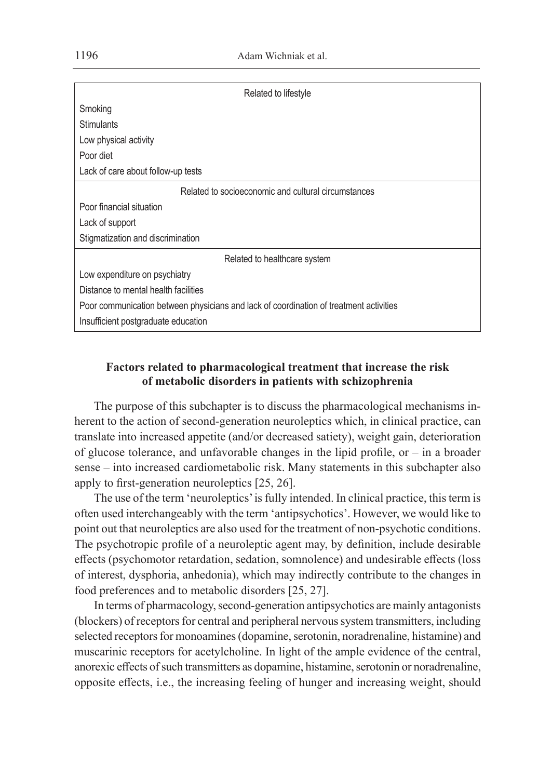| Related to lifestyle                                                                   |  |  |  |  |
|----------------------------------------------------------------------------------------|--|--|--|--|
| Smoking                                                                                |  |  |  |  |
| <b>Stimulants</b>                                                                      |  |  |  |  |
| Low physical activity                                                                  |  |  |  |  |
| Poor diet                                                                              |  |  |  |  |
| Lack of care about follow-up tests                                                     |  |  |  |  |
| Related to socioeconomic and cultural circumstances                                    |  |  |  |  |
| Poor financial situation                                                               |  |  |  |  |
| Lack of support                                                                        |  |  |  |  |
| Stigmatization and discrimination                                                      |  |  |  |  |
| Related to healthcare system                                                           |  |  |  |  |
| Low expenditure on psychiatry                                                          |  |  |  |  |
| Distance to mental health facilities                                                   |  |  |  |  |
| Poor communication between physicians and lack of coordination of treatment activities |  |  |  |  |
| Insufficient postgraduate education                                                    |  |  |  |  |

# **Factors related to pharmacological treatment that increase the risk of metabolic disorders in patients with schizophrenia**

The purpose of this subchapter is to discuss the pharmacological mechanisms inherent to the action of second-generation neuroleptics which, in clinical practice, can translate into increased appetite (and/or decreased satiety), weight gain, deterioration of glucose tolerance, and unfavorable changes in the lipid profile, or – in a broader sense – into increased cardiometabolic risk. Many statements in this subchapter also apply to first-generation neuroleptics [25, 26].

The use of the term 'neuroleptics' is fully intended. In clinical practice, this term is often used interchangeably with the term 'antipsychotics'. However, we would like to point out that neuroleptics are also used for the treatment of non-psychotic conditions. The psychotropic profile of a neuroleptic agent may, by definition, include desirable effects (psychomotor retardation, sedation, somnolence) and undesirable effects (loss of interest, dysphoria, anhedonia), which may indirectly contribute to the changes in food preferences and to metabolic disorders [25, 27].

In terms of pharmacology, second-generation antipsychotics are mainly antagonists (blockers) of receptors for central and peripheral nervous system transmitters, including selected receptors for monoamines (dopamine, serotonin, noradrenaline, histamine) and muscarinic receptors for acetylcholine. In light of the ample evidence of the central, anorexic effects of such transmitters as dopamine, histamine, serotonin or noradrenaline, opposite effects, i.e., the increasing feeling of hunger and increasing weight, should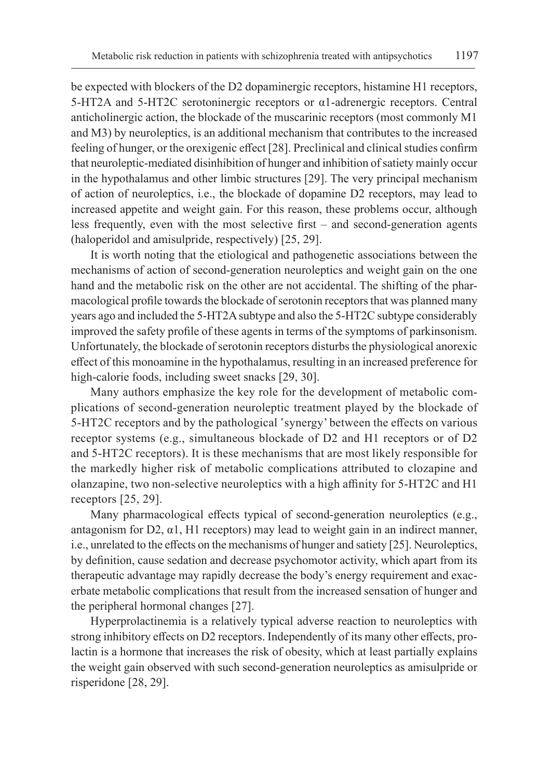be expected with blockers of the D2 dopaminergic receptors, histamine H1 receptors, 5-HT2A and 5-HT2C serotoninergic receptors or α1-adrenergic receptors. Central anticholinergic action, the blockade of the muscarinic receptors (most commonly M1 and M3) by neuroleptics, is an additional mechanism that contributes to the increased feeling of hunger, or the orexigenic effect [28]. Preclinical and clinical studies confirm that neuroleptic-mediated disinhibition of hunger and inhibition of satiety mainly occur in the hypothalamus and other limbic structures [29]. The very principal mechanism of action of neuroleptics, i.e., the blockade of dopamine D2 receptors, may lead to increased appetite and weight gain. For this reason, these problems occur, although less frequently, even with the most selective first – and second-generation agents (haloperidol and amisulpride, respectively) [25, 29].

It is worth noting that the etiological and pathogenetic associations between the mechanisms of action of second-generation neuroleptics and weight gain on the one hand and the metabolic risk on the other are not accidental. The shifting of the pharmacological profile towards the blockade of serotonin receptors that was planned many years ago and included the 5-HT2A subtype and also the 5-HT2C subtype considerably improved the safety profile of these agents in terms of the symptoms of parkinsonism. Unfortunately, the blockade of serotonin receptors disturbs the physiological anorexic effect of this monoamine in the hypothalamus, resulting in an increased preference for high-calorie foods, including sweet snacks [29, 30].

Many authors emphasize the key role for the development of metabolic complications of second-generation neuroleptic treatment played by the blockade of 5-HT2C receptors and by the pathological 'synergy' between the effects on various receptor systems (e.g., simultaneous blockade of D2 and H1 receptors or of D2 and 5-HT2C receptors). It is these mechanisms that are most likely responsible for the markedly higher risk of metabolic complications attributed to clozapine and olanzapine, two non-selective neuroleptics with a high affinity for 5-HT2C and H1 receptors [25, 29].

Many pharmacological effects typical of second-generation neuroleptics (e.g., antagonism for D2,  $\alpha$ 1, H1 receptors) may lead to weight gain in an indirect manner, i.e., unrelated to the effects on the mechanisms of hunger and satiety [25]. Neuroleptics, by definition, cause sedation and decrease psychomotor activity, which apart from its therapeutic advantage may rapidly decrease the body's energy requirement and exacerbate metabolic complications that result from the increased sensation of hunger and the peripheral hormonal changes [27].

Hyperprolactinemia is a relatively typical adverse reaction to neuroleptics with strong inhibitory effects on D2 receptors. Independently of its many other effects, prolactin is a hormone that increases the risk of obesity, which at least partially explains the weight gain observed with such second-generation neuroleptics as amisulpride or risperidone [28, 29].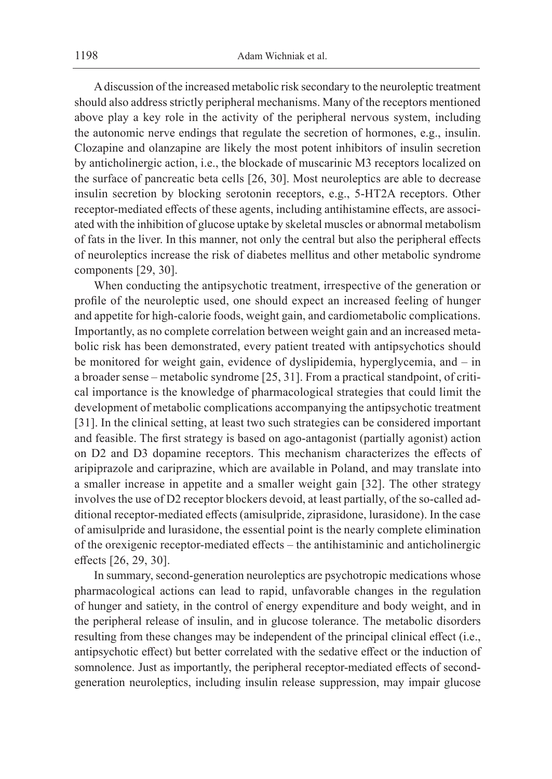A discussion of the increased metabolic risk secondary to the neuroleptic treatment should also address strictly peripheral mechanisms. Many of the receptors mentioned above play a key role in the activity of the peripheral nervous system, including the autonomic nerve endings that regulate the secretion of hormones, e.g., insulin. Clozapine and olanzapine are likely the most potent inhibitors of insulin secretion by anticholinergic action, i.e., the blockade of muscarinic M3 receptors localized on the surface of pancreatic beta cells [26, 30]. Most neuroleptics are able to decrease insulin secretion by blocking serotonin receptors, e.g., 5-HT2A receptors. Other receptor-mediated effects of these agents, including antihistamine effects, are associated with the inhibition of glucose uptake by skeletal muscles or abnormal metabolism of fats in the liver. In this manner, not only the central but also the peripheral effects of neuroleptics increase the risk of diabetes mellitus and other metabolic syndrome components [29, 30].

When conducting the antipsychotic treatment, irrespective of the generation or profile of the neuroleptic used, one should expect an increased feeling of hunger and appetite for high-calorie foods, weight gain, and cardiometabolic complications. Importantly, as no complete correlation between weight gain and an increased metabolic risk has been demonstrated, every patient treated with antipsychotics should be monitored for weight gain, evidence of dyslipidemia, hyperglycemia, and – in a broader sense – metabolic syndrome [25, 31]. From a practical standpoint, of critical importance is the knowledge of pharmacological strategies that could limit the development of metabolic complications accompanying the antipsychotic treatment [31]. In the clinical setting, at least two such strategies can be considered important and feasible. The first strategy is based on ago-antagonist (partially agonist) action on D2 and D3 dopamine receptors. This mechanism characterizes the effects of aripiprazole and cariprazine, which are available in Poland, and may translate into a smaller increase in appetite and a smaller weight gain [32]. The other strategy involves the use of D2 receptor blockers devoid, at least partially, of the so-called additional receptor-mediated effects (amisulpride, ziprasidone, lurasidone). In the case of amisulpride and lurasidone, the essential point is the nearly complete elimination of the orexigenic receptor-mediated effects – the antihistaminic and anticholinergic effects [26, 29, 30].

In summary, second-generation neuroleptics are psychotropic medications whose pharmacological actions can lead to rapid, unfavorable changes in the regulation of hunger and satiety, in the control of energy expenditure and body weight, and in the peripheral release of insulin, and in glucose tolerance. The metabolic disorders resulting from these changes may be independent of the principal clinical effect (i.e., antipsychotic effect) but better correlated with the sedative effect or the induction of somnolence. Just as importantly, the peripheral receptor-mediated effects of secondgeneration neuroleptics, including insulin release suppression, may impair glucose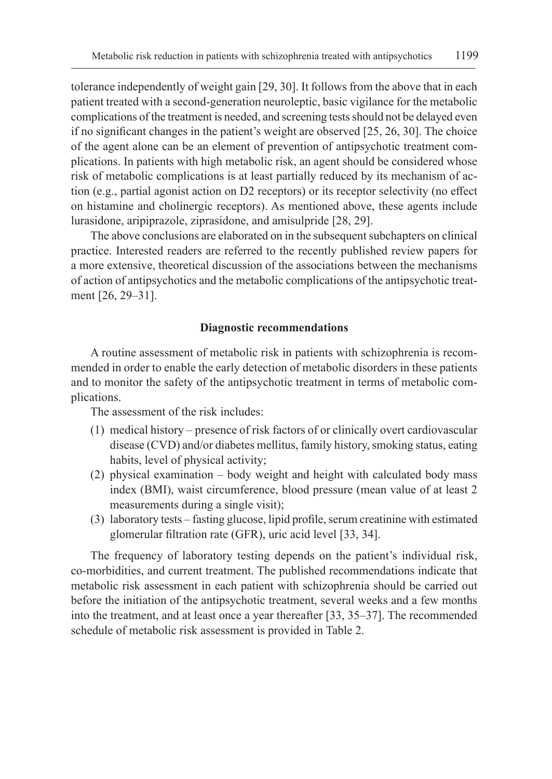tolerance independently of weight gain [29, 30]. It follows from the above that in each patient treated with a second-generation neuroleptic, basic vigilance for the metabolic complications of the treatment is needed, and screening tests should not be delayed even if no significant changes in the patient's weight are observed [25, 26, 30]. The choice of the agent alone can be an element of prevention of antipsychotic treatment complications. In patients with high metabolic risk, an agent should be considered whose risk of metabolic complications is at least partially reduced by its mechanism of action (e.g., partial agonist action on D2 receptors) or its receptor selectivity (no effect on histamine and cholinergic receptors). As mentioned above, these agents include lurasidone, aripiprazole, ziprasidone, and amisulpride [28, 29].

The above conclusions are elaborated on in the subsequent subchapters on clinical practice. Interested readers are referred to the recently published review papers for a more extensive, theoretical discussion of the associations between the mechanisms of action of antipsychotics and the metabolic complications of the antipsychotic treatment [26, 29–31].

#### **Diagnostic recommendations**

A routine assessment of metabolic risk in patients with schizophrenia is recommended in order to enable the early detection of metabolic disorders in these patients and to monitor the safety of the antipsychotic treatment in terms of metabolic complications.

The assessment of the risk includes:

- (1) medical history presence of risk factors of or clinically overt cardiovascular disease (CVD) and/or diabetes mellitus, family history, smoking status, eating habits, level of physical activity;
- (2) physical examination body weight and height with calculated body mass index (BMI), waist circumference, blood pressure (mean value of at least 2 measurements during a single visit);
- (3) laboratory tests fasting glucose, lipid profile, serum creatinine with estimated glomerular filtration rate (GFR), uric acid level [33, 34].

The frequency of laboratory testing depends on the patient's individual risk, co-morbidities, and current treatment. The published recommendations indicate that metabolic risk assessment in each patient with schizophrenia should be carried out before the initiation of the antipsychotic treatment, several weeks and a few months into the treatment, and at least once a year thereafter [33, 35–37]. The recommended schedule of metabolic risk assessment is provided in Table 2.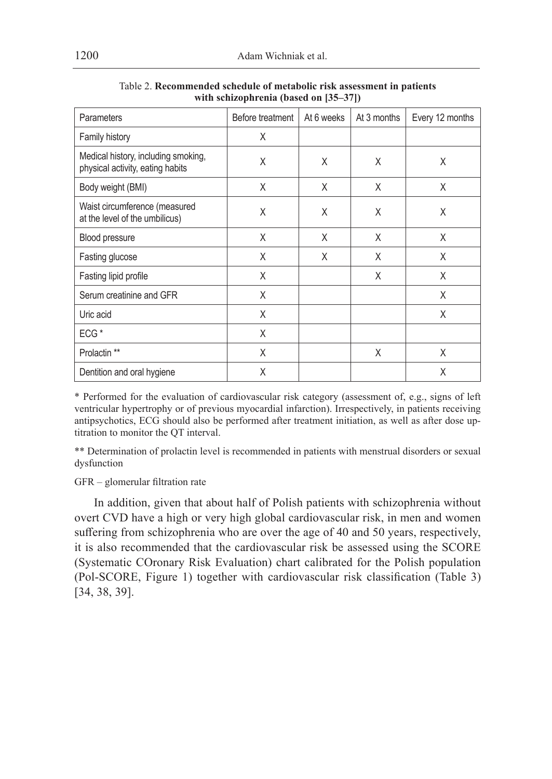| Parameters                                                              | Before treatment | At 6 weeks | At 3 months | Every 12 months |
|-------------------------------------------------------------------------|------------------|------------|-------------|-----------------|
| Family history                                                          | X                |            |             |                 |
| Medical history, including smoking,<br>physical activity, eating habits | X                | X          | X           | X               |
| Body weight (BMI)                                                       | X                | X          | X           | X               |
| Waist circumference (measured<br>at the level of the umbilicus)         | X                | X          | X           | X               |
| Blood pressure                                                          | X                | X          | X           | X               |
| Fasting glucose                                                         | X                | X          | X           | X               |
| Fasting lipid profile                                                   | X                |            | X           | X               |
| Serum creatinine and GFR                                                | X                |            |             | Χ               |
| Uric acid                                                               | X                |            |             | X               |
| ECG <sup>*</sup>                                                        | X                |            |             |                 |
| Prolactin <sup>**</sup>                                                 | X                |            | X           | Χ               |
| Dentition and oral hygiene                                              | Χ                |            |             | X               |

Table 2. **Recommended schedule of metabolic risk assessment in patients with schizophrenia (based on [35–37])**

\* Performed for the evaluation of cardiovascular risk category (assessment of, e.g., signs of left ventricular hypertrophy or of previous myocardial infarction). Irrespectively, in patients receiving antipsychotics, ECG should also be performed after treatment initiation, as well as after dose uptitration to monitor the QT interval.

\*\* Determination of prolactin level is recommended in patients with menstrual disorders or sexual dysfunction

GFR – glomerular filtration rate

In addition, given that about half of Polish patients with schizophrenia without overt CVD have a high or very high global cardiovascular risk, in men and women suffering from schizophrenia who are over the age of 40 and 50 years, respectively, it is also recommended that the cardiovascular risk be assessed using the SCORE (Systematic COronary Risk Evaluation) chart calibrated for the Polish population (Pol-SCORE, Figure 1) together with cardiovascular risk classification (Table 3) [34, 38, 39].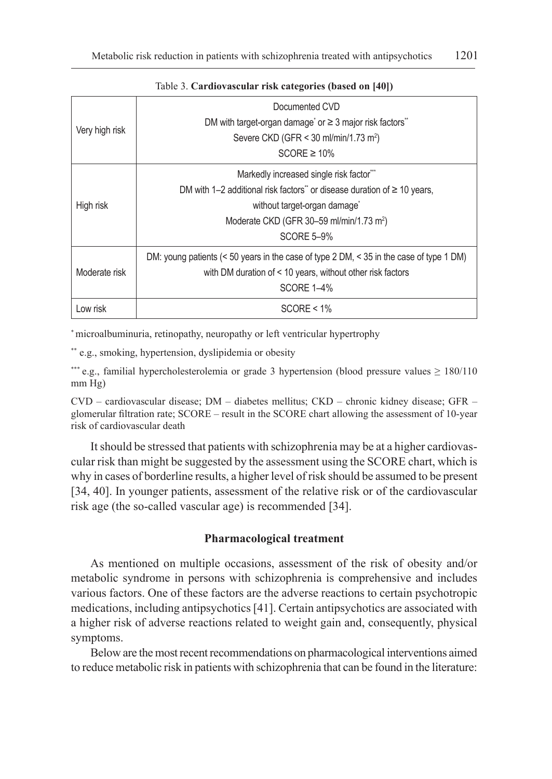| Very high risk | Documented CVD<br>DM with target-organ damage or $\geq$ 3 major risk factors"<br>Severe CKD (GFR < 30 ml/min/1.73 m <sup>2</sup> )<br>$SCORE \ge 10\%$                                                                                          |
|----------------|-------------------------------------------------------------------------------------------------------------------------------------------------------------------------------------------------------------------------------------------------|
| High risk      | Markedly increased single risk factor"<br>DM with 1-2 additional risk factors" or disease duration of $\geq 10$ years,<br>without target-organ damage <sup>*</sup><br>Moderate CKD (GFR 30-59 ml/min/1.73 m <sup>2</sup> )<br><b>SCORE 5-9%</b> |
| Moderate risk  | DM: young patients ( $\leq 50$ years in the case of type 2 DM, $\leq 35$ in the case of type 1 DM)<br>with DM duration of < 10 years, without other risk factors<br><b>SCORE 1-4%</b>                                                           |
| Low risk       | $SCORF < 1\%$                                                                                                                                                                                                                                   |

#### Table 3. **Cardiovascular risk categories (based on [40])**

\* microalbuminuria, retinopathy, neuropathy or left ventricular hypertrophy

\*\* e.g., smoking, hypertension, dyslipidemia or obesity

\*\*\* e.g., familial hypercholesterolemia or grade 3 hypertension (blood pressure values  $\geq 180/110$ mm Hg)

CVD – cardiovascular disease; DM – diabetes mellitus; CKD – chronic kidney disease; GFR – glomerular filtration rate; SCORE – result in the SCORE chart allowing the assessment of 10-year risk of cardiovascular death

It should be stressed that patients with schizophrenia may be at a higher cardiovascular risk than might be suggested by the assessment using the SCORE chart, which is why in cases of borderline results, a higher level of risk should be assumed to be present [34, 40]. In younger patients, assessment of the relative risk or of the cardiovascular risk age (the so-called vascular age) is recommended [34].

## **Pharmacological treatment**

As mentioned on multiple occasions, assessment of the risk of obesity and/or metabolic syndrome in persons with schizophrenia is comprehensive and includes various factors. One of these factors are the adverse reactions to certain psychotropic medications, including antipsychotics [41]. Certain antipsychotics are associated with a higher risk of adverse reactions related to weight gain and, consequently, physical symptoms.

Below are the most recent recommendations on pharmacological interventions aimed to reduce metabolic risk in patients with schizophrenia that can be found in the literature: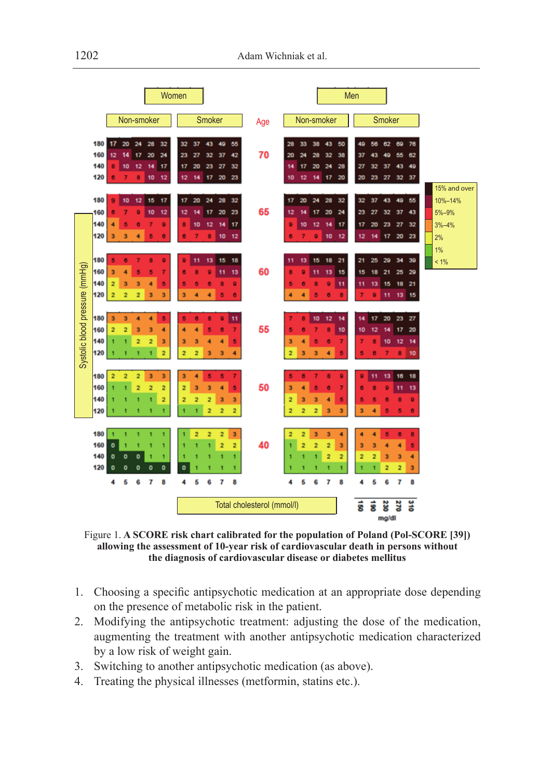

Figure 1. **A SCORE risk chart calibrated for the population of Poland (Pol-SCORE [39]) allowing the assessment of 10-year risk of cardiovascular death in persons without the diagnosis of cardiovascular disease or diabetes mellitus**

- 1. Choosing a specific antipsychotic medication at an appropriate dose depending on the presence of metabolic risk in the patient.
- 2. Modifying the antipsychotic treatment: adjusting the dose of the medication, augmenting the treatment with another antipsychotic medication characterized by a low risk of weight gain.
- 3. Switching to another antipsychotic medication (as above).
- 4. Treating the physical illnesses (metformin, statins etc.).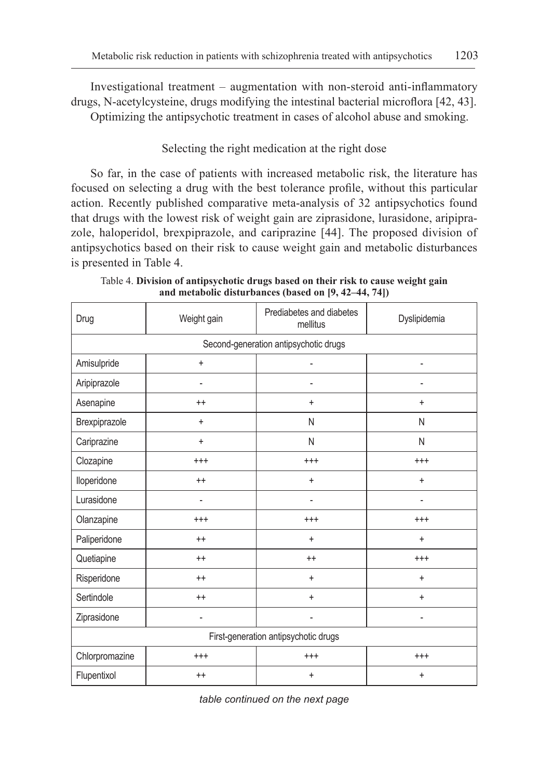Investigational treatment – augmentation with non-steroid anti-inflammatory drugs, N-acetylcysteine, drugs modifying the intestinal bacterial microflora [42, 43]. Optimizing the antipsychotic treatment in cases of alcohol abuse and smoking.

## Selecting the right medication at the right dose

So far, in the case of patients with increased metabolic risk, the literature has focused on selecting a drug with the best tolerance profile, without this particular action. Recently published comparative meta-analysis of 32 antipsychotics found that drugs with the lowest risk of weight gain are ziprasidone, lurasidone, aripiprazole, haloperidol, brexpiprazole, and cariprazine [44]. The proposed division of antipsychotics based on their risk to cause weight gain and metabolic disturbances is presented in Table 4.

| Drug                                 | Weight gain | Prediabetes and diabetes<br>mellitus  | Dyslipidemia   |  |
|--------------------------------------|-------------|---------------------------------------|----------------|--|
|                                      |             | Second-generation antipsychotic drugs |                |  |
| Amisulpride                          | $\ddot{}$   |                                       |                |  |
| Aripiprazole                         |             |                                       |                |  |
| Asenapine                            | $^{++}$     | +                                     | $\ddot{}$      |  |
| Brexpiprazole                        | +           | N                                     | N              |  |
| Cariprazine                          | $\ddot{}$   | N                                     | N              |  |
| Clozapine                            | $^{+++}$    | $^{+++}$                              | $^{+++}$       |  |
| lloperidone                          | $^{++}$     | +                                     | $\ddot{}$      |  |
| Lurasidone                           | ٠           | $\qquad \qquad \blacksquare$          | $\overline{a}$ |  |
| Olanzapine                           | $^{+++}$    | $^{+++}$                              | $^{+++}$       |  |
| Paliperidone                         | $^{++}$     | $\ddot{}$                             | $\ddot{}$      |  |
| Quetiapine                           | $^{++}$     | $^{++}$                               | $^{+++}$       |  |
| Risperidone                          | $^{++}$     | $\begin{array}{c} + \end{array}$      | $\ddot{}$      |  |
| Sertindole                           | $^{++}$     | $\ddot{}$                             | +              |  |
| Ziprasidone                          |             |                                       | ٠              |  |
| First-generation antipsychotic drugs |             |                                       |                |  |
| Chlorpromazine                       | $^{+++}$    | $^{+++}$                              | $^{+++}$       |  |
| Flupentixol                          | $^{++}$     | $\ddot{}$                             | +              |  |

Table 4. **Division of antipsychotic drugs based on their risk to cause weight gain and metabolic disturbances (based on [9, 42–44, 74])**

*table continued on the next page*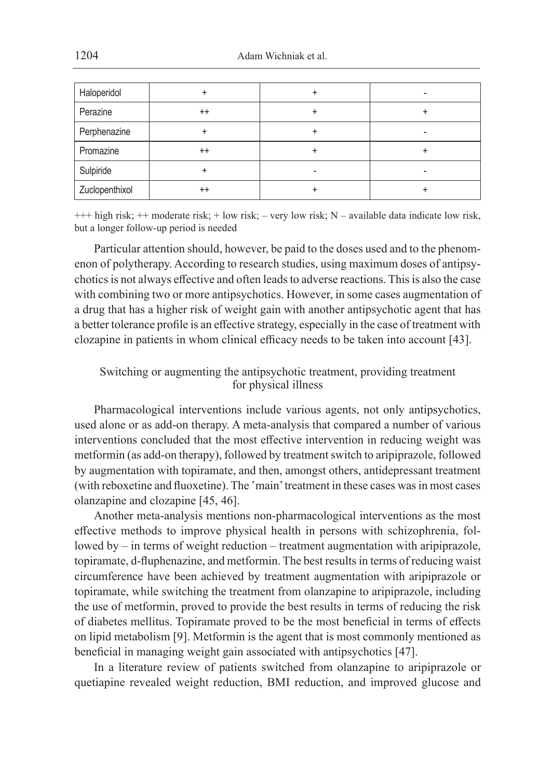| Haloperidol    |         | + | ۰ |
|----------------|---------|---|---|
| Perazine       | $^{++}$ | + | ÷ |
| Perphenazine   |         | + |   |
| Promazine      | $^{++}$ | + | + |
| Sulpiride      | ÷       | - |   |
| Zuclopenthixol | $^{++}$ |   | ٠ |

+++ high risk; ++ moderate risk; + low risk; – very low risk; N – available data indicate low risk, but a longer follow-up period is needed

Particular attention should, however, be paid to the doses used and to the phenomenon of polytherapy. According to research studies, using maximum doses of antipsychotics is not always effective and often leads to adverse reactions. This is also the case with combining two or more antipsychotics. However, in some cases augmentation of a drug that has a higher risk of weight gain with another antipsychotic agent that has a better tolerance profile is an effective strategy, especially in the case of treatment with clozapine in patients in whom clinical efficacy needs to be taken into account [43].

## Switching or augmenting the antipsychotic treatment, providing treatment for physical illness

Pharmacological interventions include various agents, not only antipsychotics, used alone or as add-on therapy. A meta-analysis that compared a number of various interventions concluded that the most effective intervention in reducing weight was metformin (as add-on therapy), followed by treatment switch to aripiprazole, followed by augmentation with topiramate, and then, amongst others, antidepressant treatment (with reboxetine and fluoxetine). The 'main' treatment in these cases was in most cases olanzapine and clozapine [45, 46].

Another meta-analysis mentions non-pharmacological interventions as the most effective methods to improve physical health in persons with schizophrenia, followed by – in terms of weight reduction – treatment augmentation with aripiprazole, topiramate, d-fluphenazine, and metformin. The best results in terms of reducing waist circumference have been achieved by treatment augmentation with aripiprazole or topiramate, while switching the treatment from olanzapine to aripiprazole, including the use of metformin, proved to provide the best results in terms of reducing the risk of diabetes mellitus. Topiramate proved to be the most beneficial in terms of effects on lipid metabolism [9]. Metformin is the agent that is most commonly mentioned as beneficial in managing weight gain associated with antipsychotics [47].

In a literature review of patients switched from olanzapine to aripiprazole or quetiapine revealed weight reduction, BMI reduction, and improved glucose and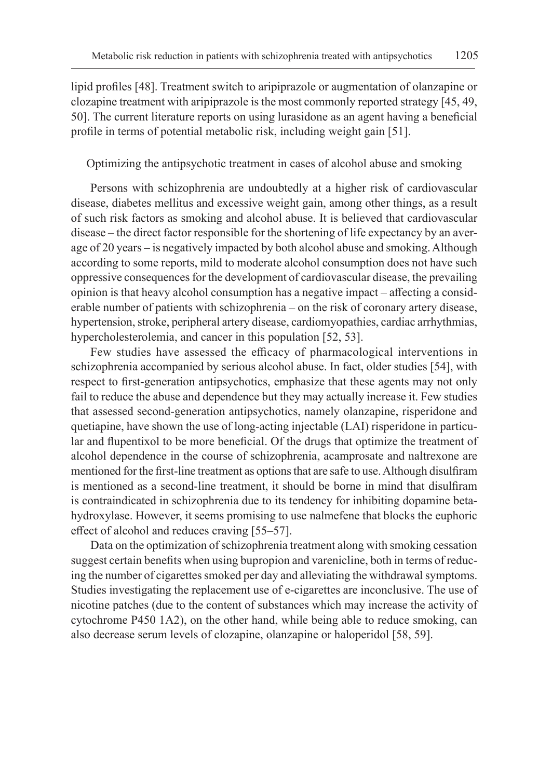lipid profiles [48]. Treatment switch to aripiprazole or augmentation of olanzapine or clozapine treatment with aripiprazole is the most commonly reported strategy [45, 49, 50]. The current literature reports on using lurasidone as an agent having a beneficial profile in terms of potential metabolic risk, including weight gain [51].

#### Optimizing the antipsychotic treatment in cases of alcohol abuse and smoking

Persons with schizophrenia are undoubtedly at a higher risk of cardiovascular disease, diabetes mellitus and excessive weight gain, among other things, as a result of such risk factors as smoking and alcohol abuse. It is believed that cardiovascular disease – the direct factor responsible for the shortening of life expectancy by an average of 20 years – is negatively impacted by both alcohol abuse and smoking. Although according to some reports, mild to moderate alcohol consumption does not have such oppressive consequences for the development of cardiovascular disease, the prevailing opinion is that heavy alcohol consumption has a negative impact – affecting a considerable number of patients with schizophrenia – on the risk of coronary artery disease, hypertension, stroke, peripheral artery disease, cardiomyopathies, cardiac arrhythmias, hypercholesterolemia, and cancer in this population [52, 53].

Few studies have assessed the efficacy of pharmacological interventions in schizophrenia accompanied by serious alcohol abuse. In fact, older studies [54], with respect to first-generation antipsychotics, emphasize that these agents may not only fail to reduce the abuse and dependence but they may actually increase it. Few studies that assessed second-generation antipsychotics, namely olanzapine, risperidone and quetiapine, have shown the use of long-acting injectable (LAI) risperidone in particular and flupentixol to be more beneficial. Of the drugs that optimize the treatment of alcohol dependence in the course of schizophrenia, acamprosate and naltrexone are mentioned for the first-line treatment as options that are safe to use. Although disulfiram is mentioned as a second-line treatment, it should be borne in mind that disulfiram is contraindicated in schizophrenia due to its tendency for inhibiting dopamine betahydroxylase. However, it seems promising to use nalmefene that blocks the euphoric effect of alcohol and reduces craving [55–57].

Data on the optimization of schizophrenia treatment along with smoking cessation suggest certain benefits when using bupropion and varenicline, both in terms of reducing the number of cigarettes smoked per day and alleviating the withdrawal symptoms. Studies investigating the replacement use of e-cigarettes are inconclusive. The use of nicotine patches (due to the content of substances which may increase the activity of cytochrome P450 1A2), on the other hand, while being able to reduce smoking, can also decrease serum levels of clozapine, olanzapine or haloperidol [58, 59].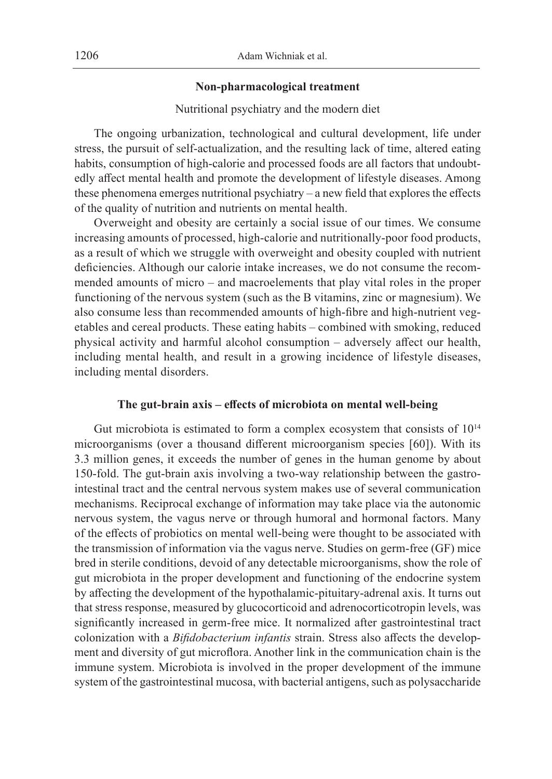#### **Non-pharmacological treatment**

#### Nutritional psychiatry and the modern diet

The ongoing urbanization, technological and cultural development, life under stress, the pursuit of self-actualization, and the resulting lack of time, altered eating habits, consumption of high-calorie and processed foods are all factors that undoubtedly affect mental health and promote the development of lifestyle diseases. Among these phenomena emerges nutritional psychiatry – a new field that explores the effects of the quality of nutrition and nutrients on mental health.

Overweight and obesity are certainly a social issue of our times. We consume increasing amounts of processed, high-calorie and nutritionally-poor food products, as a result of which we struggle with overweight and obesity coupled with nutrient deficiencies. Although our calorie intake increases, we do not consume the recommended amounts of micro – and macroelements that play vital roles in the proper functioning of the nervous system (such as the B vitamins, zinc or magnesium). We also consume less than recommended amounts of high-fibre and high-nutrient vegetables and cereal products. These eating habits – combined with smoking, reduced physical activity and harmful alcohol consumption – adversely affect our health, including mental health, and result in a growing incidence of lifestyle diseases, including mental disorders.

#### **The gut-brain axis – effects of microbiota on mental well-being**

Gut microbiota is estimated to form a complex ecosystem that consists of  $10^{14}$ microorganisms (over a thousand different microorganism species [60]). With its 3.3 million genes, it exceeds the number of genes in the human genome by about 150-fold. The gut-brain axis involving a two-way relationship between the gastrointestinal tract and the central nervous system makes use of several communication mechanisms. Reciprocal exchange of information may take place via the autonomic nervous system, the vagus nerve or through humoral and hormonal factors. Many of the effects of probiotics on mental well-being were thought to be associated with the transmission of information via the vagus nerve. Studies on germ-free (GF) mice bred in sterile conditions, devoid of any detectable microorganisms, show the role of gut microbiota in the proper development and functioning of the endocrine system by affecting the development of the hypothalamic-pituitary-adrenal axis. It turns out that stress response, measured by glucocorticoid and adrenocorticotropin levels, was significantly increased in germ-free mice. It normalized after gastrointestinal tract colonization with a *Bifidobacterium infantis* strain. Stress also affects the development and diversity of gut microflora. Another link in the communication chain is the immune system. Microbiota is involved in the proper development of the immune system of the gastrointestinal mucosa, with bacterial antigens, such as polysaccharide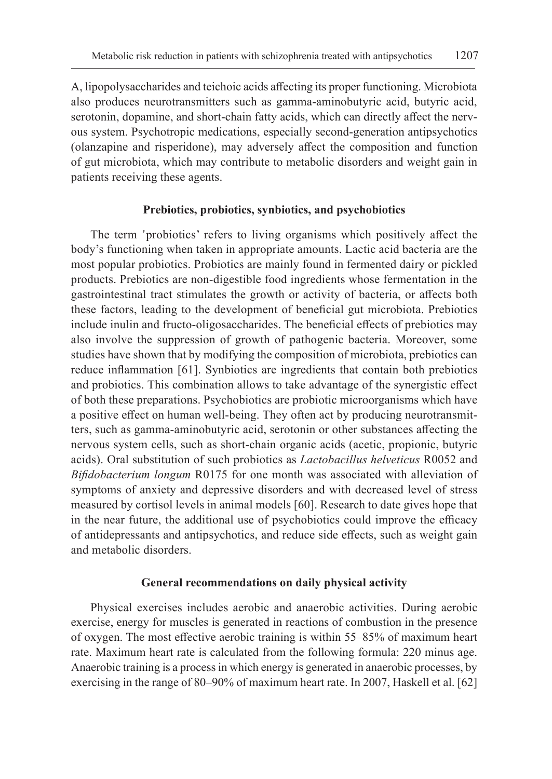A, lipopolysaccharides and teichoic acids affecting its proper functioning. Microbiota also produces neurotransmitters such as gamma-aminobutyric acid, butyric acid, serotonin, dopamine, and short-chain fatty acids, which can directly affect the nervous system. Psychotropic medications, especially second-generation antipsychotics (olanzapine and risperidone), may adversely affect the composition and function of gut microbiota, which may contribute to metabolic disorders and weight gain in patients receiving these agents.

#### **Prebiotics, probiotics, synbiotics, and psychobiotics**

The term 'probiotics' refers to living organisms which positively affect the body's functioning when taken in appropriate amounts. Lactic acid bacteria are the most popular probiotics. Probiotics are mainly found in fermented dairy or pickled products. Prebiotics are non-digestible food ingredients whose fermentation in the gastrointestinal tract stimulates the growth or activity of bacteria, or affects both these factors, leading to the development of beneficial gut microbiota. Prebiotics include inulin and fructo-oligosaccharides. The beneficial effects of prebiotics may also involve the suppression of growth of pathogenic bacteria. Moreover, some studies have shown that by modifying the composition of microbiota, prebiotics can reduce inflammation [61]. Synbiotics are ingredients that contain both prebiotics and probiotics. This combination allows to take advantage of the synergistic effect of both these preparations. Psychobiotics are probiotic microorganisms which have a positive effect on human well-being. They often act by producing neurotransmitters, such as gamma-aminobutyric acid, serotonin or other substances affecting the nervous system cells, such as short-chain organic acids (acetic, propionic, butyric acids). Oral substitution of such probiotics as *Lactobacillus helveticus* R0052 and *Bifidobacterium longum* R0175 for one month was associated with alleviation of symptoms of anxiety and depressive disorders and with decreased level of stress measured by cortisol levels in animal models [60]. Research to date gives hope that in the near future, the additional use of psychobiotics could improve the efficacy of antidepressants and antipsychotics, and reduce side effects, such as weight gain and metabolic disorders.

#### **General recommendations on daily physical activity**

Physical exercises includes aerobic and anaerobic activities. During aerobic exercise, energy for muscles is generated in reactions of combustion in the presence of oxygen. The most effective aerobic training is within 55–85% of maximum heart rate. Maximum heart rate is calculated from the following formula: 220 minus age. Anaerobic training is a process in which energy is generated in anaerobic processes, by exercising in the range of 80–90% of maximum heart rate. In 2007, Haskell et al. [62]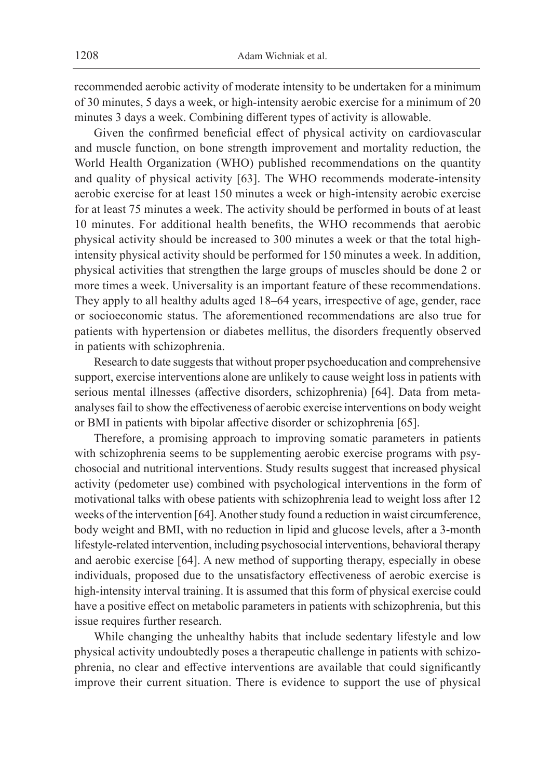recommended aerobic activity of moderate intensity to be undertaken for a minimum of 30 minutes, 5 days a week, or high-intensity aerobic exercise for a minimum of 20 minutes 3 days a week. Combining different types of activity is allowable.

Given the confirmed beneficial effect of physical activity on cardiovascular and muscle function, on bone strength improvement and mortality reduction, the World Health Organization (WHO) published recommendations on the quantity and quality of physical activity [63]. The WHO recommends moderate-intensity aerobic exercise for at least 150 minutes a week or high-intensity aerobic exercise for at least 75 minutes a week. The activity should be performed in bouts of at least 10 minutes. For additional health benefits, the WHO recommends that aerobic physical activity should be increased to 300 minutes a week or that the total highintensity physical activity should be performed for 150 minutes a week. In addition, physical activities that strengthen the large groups of muscles should be done 2 or more times a week. Universality is an important feature of these recommendations. They apply to all healthy adults aged 18–64 years, irrespective of age, gender, race or socioeconomic status. The aforementioned recommendations are also true for patients with hypertension or diabetes mellitus, the disorders frequently observed in patients with schizophrenia.

Research to date suggests that without proper psychoeducation and comprehensive support, exercise interventions alone are unlikely to cause weight loss in patients with serious mental illnesses (affective disorders, schizophrenia) [64]. Data from metaanalyses fail to show the effectiveness of aerobic exercise interventions on body weight or BMI in patients with bipolar affective disorder or schizophrenia [65].

Therefore, a promising approach to improving somatic parameters in patients with schizophrenia seems to be supplementing aerobic exercise programs with psychosocial and nutritional interventions. Study results suggest that increased physical activity (pedometer use) combined with psychological interventions in the form of motivational talks with obese patients with schizophrenia lead to weight loss after 12 weeks of the intervention [64]. Another study found a reduction in waist circumference, body weight and BMI, with no reduction in lipid and glucose levels, after a 3-month lifestyle-related intervention, including psychosocial interventions, behavioral therapy and aerobic exercise [64]. A new method of supporting therapy, especially in obese individuals, proposed due to the unsatisfactory effectiveness of aerobic exercise is high-intensity interval training. It is assumed that this form of physical exercise could have a positive effect on metabolic parameters in patients with schizophrenia, but this issue requires further research.

While changing the unhealthy habits that include sedentary lifestyle and low physical activity undoubtedly poses a therapeutic challenge in patients with schizophrenia, no clear and effective interventions are available that could significantly improve their current situation. There is evidence to support the use of physical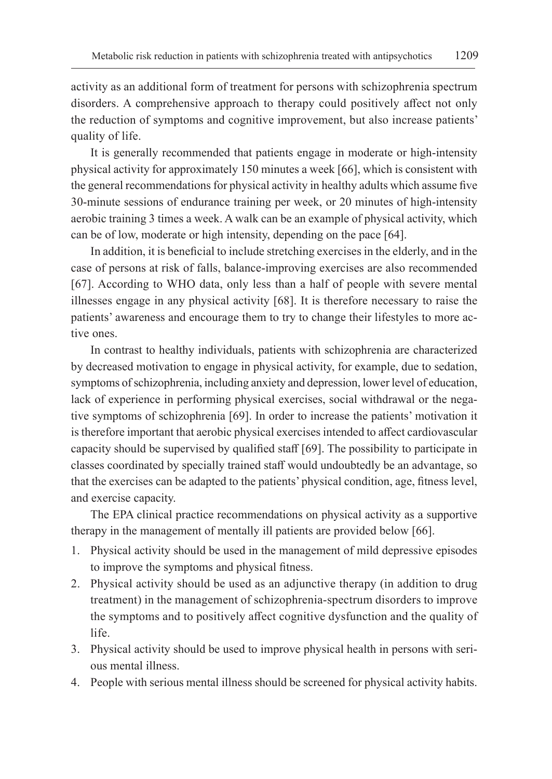activity as an additional form of treatment for persons with schizophrenia spectrum disorders. A comprehensive approach to therapy could positively affect not only the reduction of symptoms and cognitive improvement, but also increase patients' quality of life.

It is generally recommended that patients engage in moderate or high-intensity physical activity for approximately 150 minutes a week [66], which is consistent with the general recommendations for physical activity in healthy adults which assume five 30-minute sessions of endurance training per week, or 20 minutes of high-intensity aerobic training 3 times a week. A walk can be an example of physical activity, which can be of low, moderate or high intensity, depending on the pace [64].

In addition, it is beneficial to include stretching exercises in the elderly, and in the case of persons at risk of falls, balance-improving exercises are also recommended [67]. According to WHO data, only less than a half of people with severe mental illnesses engage in any physical activity [68]. It is therefore necessary to raise the patients' awareness and encourage them to try to change their lifestyles to more active ones.

In contrast to healthy individuals, patients with schizophrenia are characterized by decreased motivation to engage in physical activity, for example, due to sedation, symptoms of schizophrenia, including anxiety and depression, lower level of education, lack of experience in performing physical exercises, social withdrawal or the negative symptoms of schizophrenia [69]. In order to increase the patients' motivation it is therefore important that aerobic physical exercises intended to affect cardiovascular capacity should be supervised by qualified staff [69]. The possibility to participate in classes coordinated by specially trained staff would undoubtedly be an advantage, so that the exercises can be adapted to the patients' physical condition, age, fitness level, and exercise capacity.

The EPA clinical practice recommendations on physical activity as a supportive therapy in the management of mentally ill patients are provided below [66].

- 1. Physical activity should be used in the management of mild depressive episodes to improve the symptoms and physical fitness.
- 2. Physical activity should be used as an adjunctive therapy (in addition to drug treatment) in the management of schizophrenia-spectrum disorders to improve the symptoms and to positively affect cognitive dysfunction and the quality of life.
- 3. Physical activity should be used to improve physical health in persons with serious mental illness.
- 4. People with serious mental illness should be screened for physical activity habits.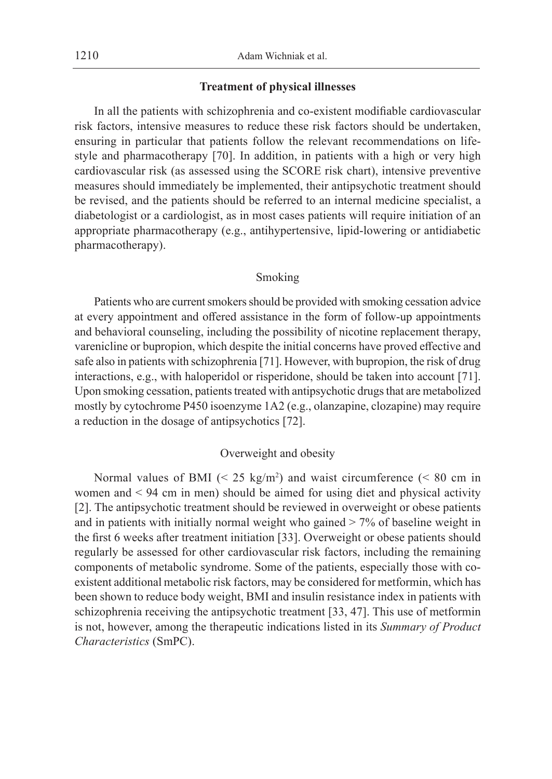#### **Treatment of physical illnesses**

In all the patients with schizophrenia and co-existent modifiable cardiovascular risk factors, intensive measures to reduce these risk factors should be undertaken, ensuring in particular that patients follow the relevant recommendations on lifestyle and pharmacotherapy [70]. In addition, in patients with a high or very high cardiovascular risk (as assessed using the SCORE risk chart), intensive preventive measures should immediately be implemented, their antipsychotic treatment should be revised, and the patients should be referred to an internal medicine specialist, a diabetologist or a cardiologist, as in most cases patients will require initiation of an appropriate pharmacotherapy (e.g., antihypertensive, lipid-lowering or antidiabetic pharmacotherapy).

#### Smoking

Patients who are current smokers should be provided with smoking cessation advice at every appointment and offered assistance in the form of follow-up appointments and behavioral counseling, including the possibility of nicotine replacement therapy, varenicline or bupropion, which despite the initial concerns have proved effective and safe also in patients with schizophrenia [71]. However, with bupropion, the risk of drug interactions, e.g., with haloperidol or risperidone, should be taken into account [71]. Upon smoking cessation, patients treated with antipsychotic drugs that are metabolized mostly by cytochrome P450 isoenzyme 1A2 (e.g., olanzapine, clozapine) may require a reduction in the dosage of antipsychotics [72].

#### Overweight and obesity

Normal values of BMI  $\left($  < 25 kg/m<sup>2</sup>) and waist circumference  $\left($  < 80 cm in women and < 94 cm in men) should be aimed for using diet and physical activity [2]. The antipsychotic treatment should be reviewed in overweight or obese patients and in patients with initially normal weight who gained  $> 7\%$  of baseline weight in the first 6 weeks after treatment initiation [33]. Overweight or obese patients should regularly be assessed for other cardiovascular risk factors, including the remaining components of metabolic syndrome. Some of the patients, especially those with coexistent additional metabolic risk factors, may be considered for metformin, which has been shown to reduce body weight, BMI and insulin resistance index in patients with schizophrenia receiving the antipsychotic treatment [33, 47]. This use of metformin is not, however, among the therapeutic indications listed in its *Summary of Product Characteristics* (SmPC).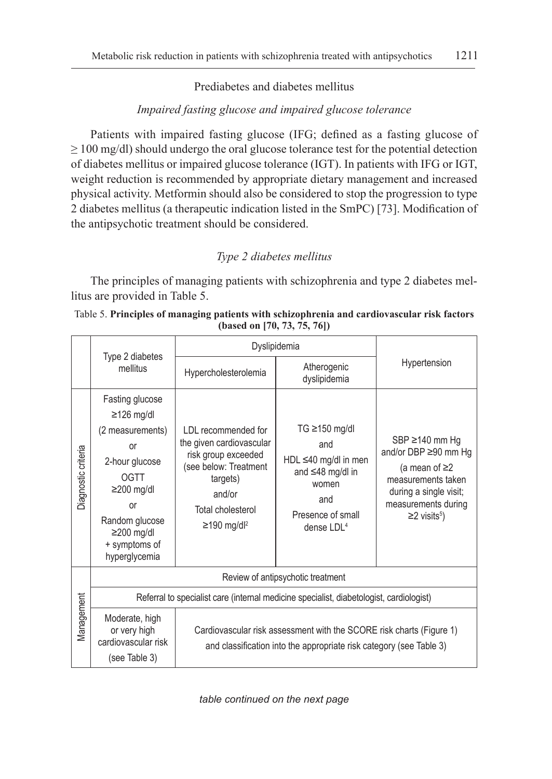Prediabetes and diabetes mellitus

*Impaired fasting glucose and impaired glucose tolerance*

Patients with impaired fasting glucose (IFG; defined as a fasting glucose of  $\geq$  100 mg/dl) should undergo the oral glucose tolerance test for the potential detection of diabetes mellitus or impaired glucose tolerance (IGT). In patients with IFG or IGT, weight reduction is recommended by appropriate dietary management and increased physical activity. Metformin should also be considered to stop the progression to type 2 diabetes mellitus (a therapeutic indication listed in the SmPC) [73]. Modification of the antipsychotic treatment should be considered.

# *Type 2 diabetes mellitus*

The principles of managing patients with schizophrenia and type 2 diabetes mellitus are provided in Table 5.

| Table 5. Principles of managing patients with schizophrenia and cardiovascular risk factors |
|---------------------------------------------------------------------------------------------|
| (based on [70, 73, 75, 76])                                                                 |

|                     |                                                                                                                                                                                                                       | Dyslipidemia                                                                                                                                                                   |                                                                                                                                       |                                                                                                                                                                              |
|---------------------|-----------------------------------------------------------------------------------------------------------------------------------------------------------------------------------------------------------------------|--------------------------------------------------------------------------------------------------------------------------------------------------------------------------------|---------------------------------------------------------------------------------------------------------------------------------------|------------------------------------------------------------------------------------------------------------------------------------------------------------------------------|
|                     | Type 2 diabetes<br>mellitus                                                                                                                                                                                           | Hypercholesterolemia                                                                                                                                                           | Atherogenic<br>dyslipidemia                                                                                                           | Hypertension                                                                                                                                                                 |
| Diagnostic criteria | Fasting glucose<br>$≥126$ mg/dl<br>(2 measurements)<br>or<br>2-hour glucose<br>OGTT<br>$≥200$ mg/dl<br>or<br>Random glucose<br>$\geq$ 200 mg/dl<br>+ symptoms of<br>hyperglycemia                                     | <b>IDI</b> recommended for<br>the given cardiovascular<br>risk group exceeded<br>(see below: Treatment<br>targets)<br>and/or<br>Total cholesterol<br>$≥190$ mg/dl <sup>2</sup> | TG ≥150 mg/dl<br>and<br>HDL ≤40 mg/dl in men<br>and $\leq 48$ mg/dl in<br>women<br>and<br>Presence of small<br>dense LDL <sup>4</sup> | SBP $\geq$ 140 mm Hg<br>and/or DBP ≥90 mm Hg<br>(a mean of $\geq$ 2<br>measurements taken<br>during a single visit;<br>measurements during<br>$\geq$ 2 visits <sup>5</sup> ) |
|                     | Review of antipsychotic treatment                                                                                                                                                                                     |                                                                                                                                                                                |                                                                                                                                       |                                                                                                                                                                              |
|                     | Referral to specialist care (internal medicine specialist, diabetologist, cardiologist)                                                                                                                               |                                                                                                                                                                                |                                                                                                                                       |                                                                                                                                                                              |
| Management          | Moderate, high<br>or very high<br>Cardiovascular risk assessment with the SCORE risk charts (Figure 1)<br>cardiovascular risk<br>and classification into the appropriate risk category (see Table 3)<br>(see Table 3) |                                                                                                                                                                                |                                                                                                                                       |                                                                                                                                                                              |

*table continued on the next page*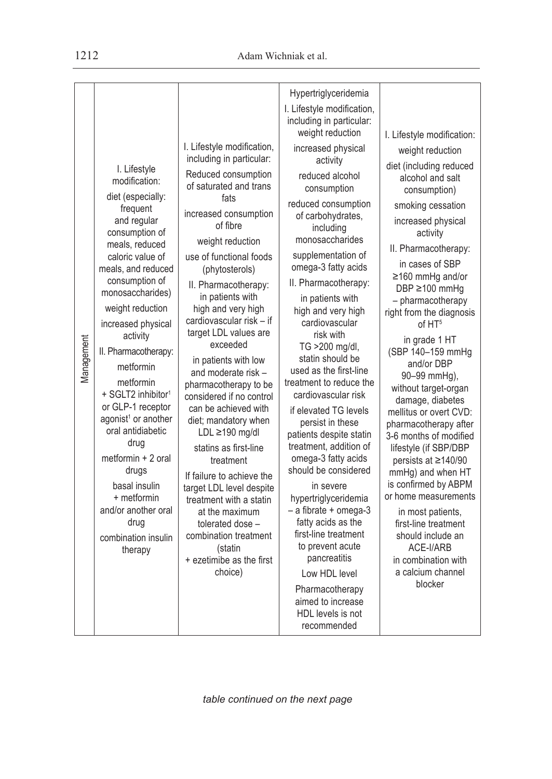|            | I. Lifestyle<br>modification:<br>diet (especially:<br>frequent<br>and regular<br>consumption of<br>meals, reduced<br>caloric value of<br>meals, and reduced<br>consumption of<br>monosaccharides)<br>weight reduction<br>increased physical<br>activity<br>II. Pharmacotherapy: | I. Lifestyle modification,<br>including in particular:<br>Reduced consumption<br>of saturated and trans<br>fats<br>increased consumption<br>of fibre<br>weight reduction<br>use of functional foods<br>(phytosterols)<br>II. Pharmacotherapy:<br>in patients with<br>high and very high<br>cardiovascular risk - if<br>target LDL values are<br>exceeded<br>in patients with low      | Hypertriglyceridemia<br>I. Lifestyle modification,<br>including in particular:<br>weight reduction<br>increased physical<br>activity<br>reduced alcohol<br>consumption<br>reduced consumption<br>of carbohydrates,<br>including<br>monosaccharides<br>supplementation of<br>omega-3 fatty acids<br>II. Pharmacotherapy:<br>in patients with<br>high and very high<br>cardiovascular<br>risk with<br>TG >200 mg/dl,<br>statin should be                                 | I. Lifestyle modification:<br>weight reduction<br>diet (including reduced<br>alcohol and salt<br>consumption)<br>smoking cessation<br>increased physical<br>activity<br>II. Pharmacotherapy:<br>in cases of SBP<br>$\geq$ 160 mmHg and/or<br>DBP ≥100 mmHg<br>- pharmacotherapy<br>right from the diagnosis<br>of HT <sup>5</sup><br>in grade 1 HT<br>(SBP 140-159 mmHg                                        |
|------------|---------------------------------------------------------------------------------------------------------------------------------------------------------------------------------------------------------------------------------------------------------------------------------|---------------------------------------------------------------------------------------------------------------------------------------------------------------------------------------------------------------------------------------------------------------------------------------------------------------------------------------------------------------------------------------|------------------------------------------------------------------------------------------------------------------------------------------------------------------------------------------------------------------------------------------------------------------------------------------------------------------------------------------------------------------------------------------------------------------------------------------------------------------------|----------------------------------------------------------------------------------------------------------------------------------------------------------------------------------------------------------------------------------------------------------------------------------------------------------------------------------------------------------------------------------------------------------------|
| Management | metformin<br>metformin<br>+ SGLT2 inhibitor <sup>1</sup><br>or GLP-1 receptor<br>agonist <sup>1</sup> or another<br>oral antidiabetic<br>drug<br>metformin + 2 oral<br>drugs<br>basal insulin<br>+ metformin<br>and/or another oral<br>drug<br>combination insulin<br>therapy   | and moderate risk -<br>pharmacotherapy to be<br>considered if no control<br>can be achieved with<br>diet; mandatory when<br>LDL ≥190 mg/dl<br>statins as first-line<br>treatment<br>If failure to achieve the<br>target LDL level despite<br>treatment with a statin<br>at the maximum<br>tolerated dose -<br>combination treatment<br>(statin<br>+ ezetimibe as the first<br>choice) | used as the first-line<br>treatment to reduce the<br>cardiovascular risk<br>if elevated TG levels<br>persist in these<br>patients despite statin<br>treatment, addition of<br>omega-3 fatty acids<br>should be considered<br>in severe<br>hypertriglyceridemia<br>- a fibrate + omega-3<br>fatty acids as the<br>first-line treatment<br>to prevent acute<br>pancreatitis<br>Low HDL level<br>Pharmacotherapy<br>aimed to increase<br>HDL levels is not<br>recommended | and/or DBP<br>90-99 mmHg),<br>without target-organ<br>damage, diabetes<br>mellitus or overt CVD:<br>pharmacotherapy after<br>3-6 months of modified<br>lifestyle (if SBP/DBP<br>persists at ≥140/90<br>mmHg) and when HT<br>is confirmed by ABPM<br>or home measurements<br>in most patients,<br>first-line treatment<br>should include an<br>ACE-I/ARB<br>in combination with<br>a calcium channel<br>blocker |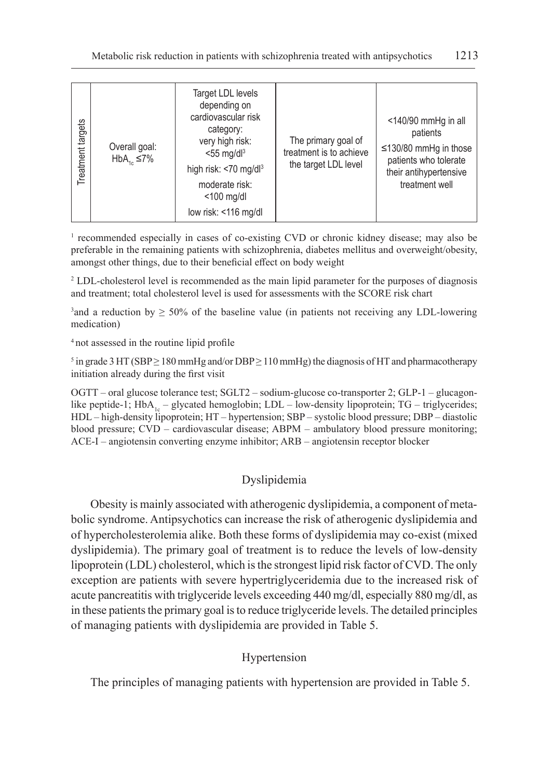1 recommended especially in cases of co-existing CVD or chronic kidney disease; may also be preferable in the remaining patients with schizophrenia, diabetes mellitus and overweight/obesity, amongst other things, due to their beneficial effect on body weight

<sup>2</sup> LDL-cholesterol level is recommended as the main lipid parameter for the purposes of diagnosis and treatment; total cholesterol level is used for assessments with the SCORE risk chart

 $3$  and a reduction by  $\geq 50\%$  of the baseline value (in patients not receiving any LDL-lowering medication)

<sup>4</sup>not assessed in the routine lipid profile

<sup>5</sup> in grade 3 HT (SBP  $\geq$  180 mmHg and/or DBP  $\geq$  110 mmHg) the diagnosis of HT and pharmacotherapy initiation already during the first visit

OGTT – oral glucose tolerance test; SGLT2 – sodium-glucose co-transporter 2; GLP-1 – glucagonlike peptide-1;  $HbA_{1c}$  – glycated hemoglobin;  $LDL$  – low-density lipoprotein; TG – triglycerides; HDL – high-density lipoprotein; HT – hypertension; SBP – systolic blood pressure; DBP – diastolic blood pressure; CVD – cardiovascular disease; ABPM – ambulatory blood pressure monitoring; ACE-I – angiotensin converting enzyme inhibitor; ARB – angiotensin receptor blocker

## Dyslipidemia

Obesity is mainly associated with atherogenic dyslipidemia, a component of metabolic syndrome. Antipsychotics can increase the risk of atherogenic dyslipidemia and of hypercholesterolemia alike. Both these forms of dyslipidemia may co-exist (mixed dyslipidemia). The primary goal of treatment is to reduce the levels of low-density lipoprotein (LDL) cholesterol, which is the strongest lipid risk factor of CVD. The only exception are patients with severe hypertriglyceridemia due to the increased risk of acute pancreatitis with triglyceride levels exceeding 440 mg/dl, especially 880 mg/dl, as in these patients the primary goal is to reduce triglyceride levels. The detailed principles of managing patients with dyslipidemia are provided in Table 5.

## Hypertension

The principles of managing patients with hypertension are provided in Table 5.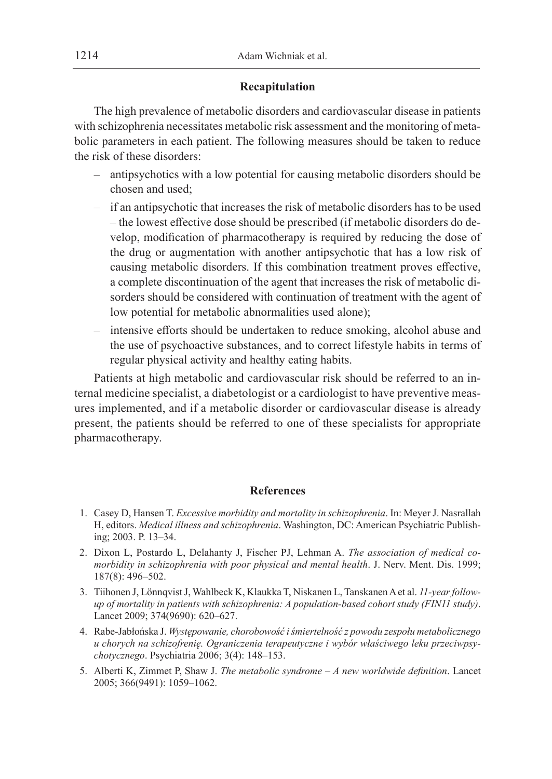## **Recapitulation**

The high prevalence of metabolic disorders and cardiovascular disease in patients with schizophrenia necessitates metabolic risk assessment and the monitoring of metabolic parameters in each patient. The following measures should be taken to reduce the risk of these disorders:

- antipsychotics with a low potential for causing metabolic disorders should be chosen and used;
- if an antipsychotic that increases the risk of metabolic disorders has to be used – the lowest effective dose should be prescribed (if metabolic disorders do develop, modification of pharmacotherapy is required by reducing the dose of the drug or augmentation with another antipsychotic that has a low risk of causing metabolic disorders. If this combination treatment proves effective, a complete discontinuation of the agent that increases the risk of metabolic disorders should be considered with continuation of treatment with the agent of low potential for metabolic abnormalities used alone);
- intensive efforts should be undertaken to reduce smoking, alcohol abuse and the use of psychoactive substances, and to correct lifestyle habits in terms of regular physical activity and healthy eating habits.

Patients at high metabolic and cardiovascular risk should be referred to an internal medicine specialist, a diabetologist or a cardiologist to have preventive measures implemented, and if a metabolic disorder or cardiovascular disease is already present, the patients should be referred to one of these specialists for appropriate pharmacotherapy.

## **References**

- 1. Casey D, Hansen T. *Excessive morbidity and mortality in schizophrenia*. In: Meyer J. Nasrallah H, editors. *Medical illness and schizophrenia*. Washington, DC: American Psychiatric Publishing; 2003. P. 13–34.
- 2. Dixon L, Postardo L, Delahanty J, Fischer PJ, Lehman A. *The association of medical comorbidity in schizophrenia with poor physical and mental health*. J. Nerv. Ment. Dis. 1999; 187(8): 496–502.
- 3. Tiihonen J, Lönnqvist J, Wahlbeck K, Klaukka T, Niskanen L, Tanskanen A et al. *11-year followup of mortality in patients with schizophrenia: A population-based cohort study (FIN11 study)*. Lancet 2009; 374(9690): 620–627.
- 4. Rabe-Jabłońska J. *Występowanie, chorobowość iśmiertelność z powodu zespołu metabolicznego u chorych na schizofrenię. Ograniczenia terapeutyczne i wybór właściwego leku przeciwpsychotycznego*. Psychiatria 2006; 3(4): 148–153.
- 5. Alberti K, Zimmet P, Shaw J. *The metabolic syndrome A new worldwide definition*. Lancet 2005; 366(9491): 1059–1062.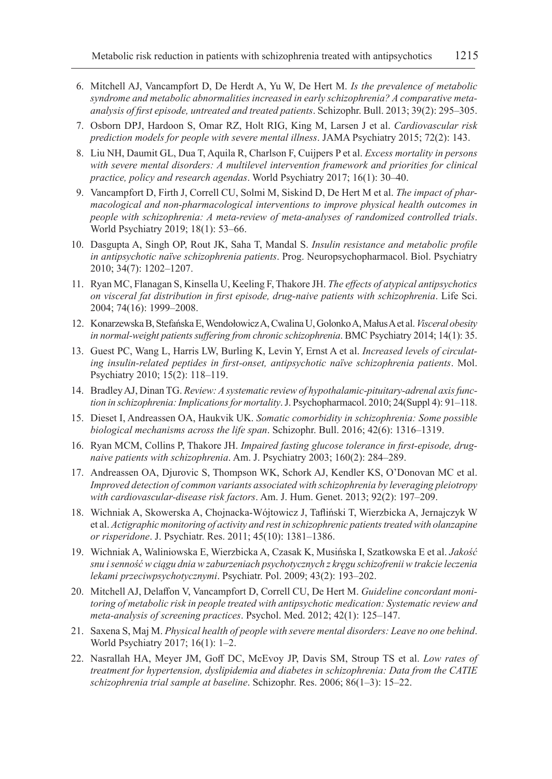- 6. Mitchell AJ, Vancampfort D, De Herdt A, Yu W, De Hert M. *Is the prevalence of metabolic syndrome and metabolic abnormalities increased in early schizophrenia? A comparative metaanalysis of first episode, untreated and treated patients*. Schizophr. Bull. 2013; 39(2): 295–305.
- 7. Osborn DPJ, Hardoon S, Omar RZ, Holt RIG, King M, Larsen J et al. *Cardiovascular risk prediction models for people with severe mental illness*. JAMA Psychiatry 2015; 72(2): 143.
- 8. Liu NH, Daumit GL, Dua T, Aquila R, Charlson F, Cuijpers P et al. *Excess mortality in persons with severe mental disorders: A multilevel intervention framework and priorities for clinical practice, policy and research agendas*. World Psychiatry 2017; 16(1): 30–40.
- 9. Vancampfort D, Firth J, Correll CU, Solmi M, Siskind D, De Hert M et al. *The impact of pharmacological and non-pharmacological interventions to improve physical health outcomes in people with schizophrenia: A meta-review of meta-analyses of randomized controlled trials*. World Psychiatry 2019; 18(1): 53–66.
- 10. Dasgupta A, Singh OP, Rout JK, Saha T, Mandal S. *Insulin resistance and metabolic profile in antipsychotic naïve schizophrenia patients*. Prog. Neuropsychopharmacol. Biol. Psychiatry 2010; 34(7): 1202–1207.
- 11. Ryan MC, Flanagan S, Kinsella U, Keeling F, Thakore JH. *The effects of atypical antipsychotics on visceral fat distribution in first episode, drug-naive patients with schizophrenia*. Life Sci. 2004; 74(16): 1999–2008.
- 12. Konarzewska B, Stefańska E, Wendołowicz A, Cwalina U, Golonko A, Małus A et al. *Visceral obesity in normal-weight patients suffering from chronic schizophrenia*. BMC Psychiatry 2014; 14(1): 35.
- 13. Guest PC, Wang L, Harris LW, Burling K, Levin Y, Ernst A et al. *Increased levels of circulating insulin-related peptides in first-onset, antipsychotic naïve schizophrenia patients*. Mol. Psychiatry 2010; 15(2): 118–119.
- 14. Bradley AJ, Dinan TG. *Review: A systematic review of hypothalamic-pituitary-adrenal axis function in schizophrenia: Implications for mortality*. J. Psychopharmacol. 2010; 24(Suppl 4): 91–118.
- 15. Dieset I, Andreassen OA, Haukvik UK. *Somatic comorbidity in schizophrenia: Some possible biological mechanisms across the life span*. Schizophr. Bull. 2016; 42(6): 1316–1319.
- 16. Ryan MCM, Collins P, Thakore JH. *Impaired fasting glucose tolerance in first-episode, drugnaive patients with schizophrenia*. Am. J. Psychiatry 2003; 160(2): 284–289.
- 17. Andreassen OA, Djurovic S, Thompson WK, Schork AJ, Kendler KS, O'Donovan MC et al. *Improved detection of common variants associated with schizophrenia by leveraging pleiotropy with cardiovascular-disease risk factors*. Am. J. Hum. Genet. 2013; 92(2): 197–209.
- 18. Wichniak A, Skowerska A, Chojnacka-Wójtowicz J, Tafliński T, Wierzbicka A, Jernajczyk W et al. *Actigraphic monitoring of activity and rest in schizophrenic patients treated with olanzapine or risperidone*. J. Psychiatr. Res. 2011; 45(10): 1381–1386.
- 19. Wichniak A, Waliniowska E, Wierzbicka A, Czasak K, Musińska I, Szatkowska E et al. *Jakość snu isenność w ciągu dnia w zaburzeniach psychotycznych z kręgu schizofrenii w trakcie leczenia lekami przeciwpsychotycznymi*. Psychiatr. Pol. 2009; 43(2): 193–202.
- 20. Mitchell AJ, Delaffon V, Vancampfort D, Correll CU, De Hert M. *Guideline concordant monitoring of metabolic risk in people treated with antipsychotic medication: Systematic review and meta-analysis of screening practices*. Psychol. Med. 2012; 42(1): 125–147.
- 21. Saxena S, Maj M. *Physical health of people with severe mental disorders: Leave no one behind*. World Psychiatry 2017; 16(1): 1–2.
- 22. Nasrallah HA, Meyer JM, Goff DC, McEvoy JP, Davis SM, Stroup TS et al. *Low rates of treatment for hypertension, dyslipidemia and diabetes in schizophrenia: Data from the CATIE schizophrenia trial sample at baseline*. Schizophr. Res. 2006; 86(1–3): 15–22.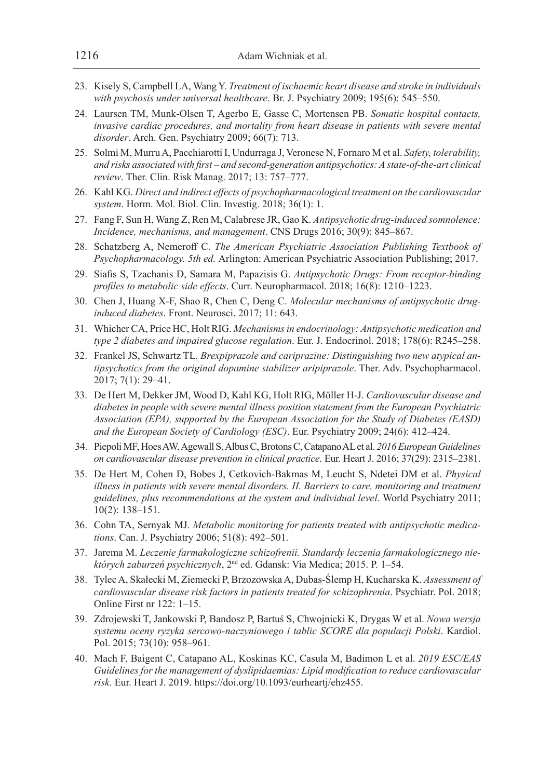- 23. Kisely S, Campbell LA, Wang Y. *Treatment of ischaemic heart disease and stroke in individuals with psychosis under universal healthcare*. Br. J. Psychiatry 2009; 195(6): 545–550.
- 24. Laursen TM, Munk-Olsen T, Agerbo E, Gasse C, Mortensen PB. *Somatic hospital contacts, invasive cardiac procedures, and mortality from heart disease in patients with severe mental disorder*. Arch. Gen. Psychiatry 2009; 66(7): 713.
- 25. Solmi M, Murru A, Pacchiarotti I, Undurraga J, Veronese N, Fornaro M et al. *Safety, tolerability, and risks associated with first – and second-generation antipsychotics: A state-of-the-art clinical review*. Ther. Clin. Risk Manag. 2017; 13: 757–777.
- 26. Kahl KG. *Direct and indirect effects of psychopharmacological treatment on the cardiovascular system*. Horm. Mol. Biol. Clin. Investig. 2018; 36(1): 1.
- 27. Fang F, Sun H, Wang Z, Ren M, Calabrese JR, Gao K. *Antipsychotic drug-induced somnolence: Incidence, mechanisms, and management*. CNS Drugs 2016; 30(9): 845–867.
- 28. Schatzberg A, Nemeroff C. *The American Psychiatric Association Publishing Textbook of Psychopharmacology. 5th ed.* Arlington: American Psychiatric Association Publishing; 2017.
- 29. Siafis S, Tzachanis D, Samara M, Papazisis G. *Antipsychotic Drugs: From receptor-binding profiles to metabolic side effects*. Curr. Neuropharmacol. 2018; 16(8): 1210–1223.
- 30. Chen J, Huang X-F, Shao R, Chen C, Deng C. *Molecular mechanisms of antipsychotic druginduced diabetes*. Front. Neurosci. 2017; 11: 643.
- 31. Whicher CA, Price HC, Holt RIG. *Mechanisms in endocrinology: Antipsychotic medication and type 2 diabetes and impaired glucose regulation*. Eur. J. Endocrinol. 2018; 178(6): R245–258.
- 32. Frankel JS, Schwartz TL. *Brexpiprazole and cariprazine: Distinguishing two new atypical antipsychotics from the original dopamine stabilizer aripiprazole*. Ther. Adv. Psychopharmacol. 2017; 7(1): 29–41.
- 33. De Hert M, Dekker JM, Wood D, Kahl KG, Holt RIG, Möller H-J. *Cardiovascular disease and diabetes in people with severe mental illness position statement from the European Psychiatric Association (EPA), supported by the European Association for the Study of Diabetes (EASD) and the European Society of Cardiology (ESC)*. Eur. Psychiatry 2009; 24(6): 412–424.
- 34. Piepoli MF, Hoes AW, Agewall S, Albus C, Brotons C, Catapano AL et al. *2016 European Guidelines on cardiovascular disease prevention in clinical practice*. Eur. Heart J. 2016; 37(29): 2315–2381.
- 35. De Hert M, Cohen D, Bobes J, Cetkovich-Bakmas M, Leucht S, Ndetei DM et al. *Physical illness in patients with severe mental disorders. II. Barriers to care, monitoring and treatment guidelines, plus recommendations at the system and individual level*. World Psychiatry 2011; 10(2): 138–151.
- 36. Cohn TA, Sernyak MJ. *Metabolic monitoring for patients treated with antipsychotic medications*. Can. J. Psychiatry 2006; 51(8): 492–501.
- 37. Jarema M. *Leczenie farmakologiczne schizofrenii. Standardy leczenia farmakologicznego niektórych zaburzeń psychicznych*, 2nd ed. Gdansk: Via Medica; 2015. P. 1–54.
- 38. Tylec A, Skałecki M, Ziemecki P, Brzozowska A, Dubas-Ślemp H, Kucharska K. *Assessment of cardiovascular disease risk factors in patients treated for schizophrenia*. Psychiatr. Pol. 2018; Online First nr 122: 1–15.
- 39. Zdrojewski T, Jankowski P, Bandosz P, Bartuś S, Chwojnicki K, Drygas W et al. *Nowa wersja systemu oceny ryzyka sercowo-naczyniowego i tablic SCORE dla populacji Polski*. Kardiol. Pol. 2015; 73(10): 958–961.
- 40. Mach F, Baigent C, Catapano AL, Koskinas KC, Casula M, Badimon L et al. *2019 ESC/EAS Guidelines for the management of dyslipidaemias: Lipid modification to reduce cardiovascular risk*. Eur. Heart J. 2019. https://doi.org/10.1093/eurheartj/ehz455.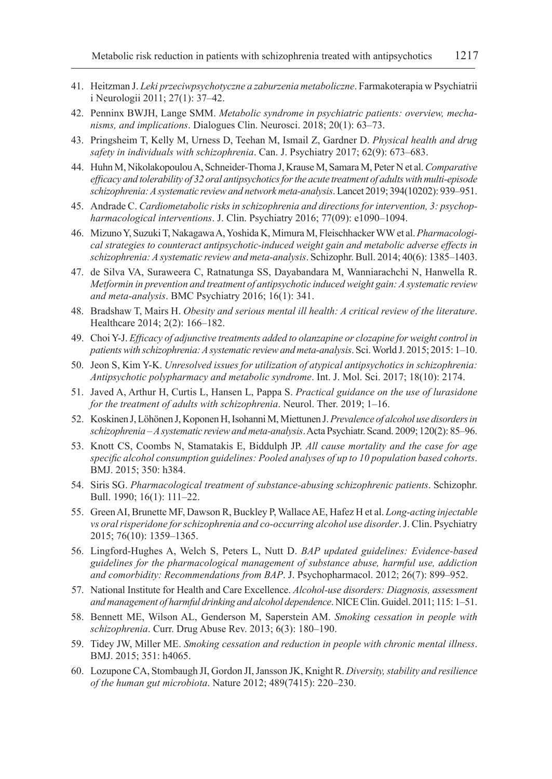- 41. Heitzman J. *Leki przeciwpsychotyczne a zaburzenia metaboliczne*. Farmakoterapia w Psychiatrii i Neurologii 2011; 27(1): 37–42.
- 42. Penninx BWJH, Lange SMM. *Metabolic syndrome in psychiatric patients: overview, mechanisms, and implications*. Dialogues Clin. Neurosci. 2018; 20(1): 63–73.
- 43. Pringsheim T, Kelly M, Urness D, Teehan M, Ismail Z, Gardner D. *Physical health and drug safety in individuals with schizophrenia*. Can. J. Psychiatry 2017; 62(9): 673–683.
- 44. Huhn M, Nikolakopoulou A, Schneider-Thoma J, Krause M, Samara M, Peter N et al. *Comparative efficacy and tolerability of 32 oral antipsychotics for the acute treatment of adults with multi-episode schizophrenia: A systematic review and network meta-analysis*. Lancet 2019; 394(10202): 939–951.
- 45. Andrade C. *Cardiometabolic risks in schizophrenia and directions for intervention, 3: psychopharmacological interventions*. J. Clin. Psychiatry 2016; 77(09): e1090–1094.
- 46. Mizuno Y, Suzuki T, Nakagawa A, Yoshida K, Mimura M, Fleischhacker WW et al. *Pharmacological strategies to counteract antipsychotic-induced weight gain and metabolic adverse effects in schizophrenia: A systematic review and meta-analysis*. Schizophr. Bull. 2014; 40(6): 1385–1403.
- 47. de Silva VA, Suraweera C, Ratnatunga SS, Dayabandara M, Wanniarachchi N, Hanwella R. *Metformin in prevention and treatment of antipsychotic induced weight gain: A systematic review and meta-analysis*. BMC Psychiatry 2016; 16(1): 341.
- 48. Bradshaw T, Mairs H. *Obesity and serious mental ill health: A critical review of the literature*. Healthcare 2014; 2(2): 166–182.
- 49. Choi Y-J. *Efficacy of adjunctive treatments added to olanzapine or clozapine for weight control in patients with schizophrenia: A systematic review and meta-analysis*. Sci. World J. 2015; 2015: 1–10.
- 50. Jeon S, Kim Y-K. *Unresolved issues for utilization of atypical antipsychotics in schizophrenia: Antipsychotic polypharmacy and metabolic syndrome*. Int. J. Mol. Sci. 2017; 18(10): 2174.
- 51. Javed A, Arthur H, Curtis L, Hansen L, Pappa S. *Practical guidance on the use of lurasidone for the treatment of adults with schizophrenia*. Neurol. Ther. 2019; 1–16.
- 52. Koskinen J, Löhönen J, Koponen H, Isohanni M, Miettunen J. *Prevalence of alcohol use disorders in schizophrenia – A systematic review and meta-analysis*. Acta Psychiatr. Scand. 2009; 120(2): 85–96.
- 53. Knott CS, Coombs N, Stamatakis E, Biddulph JP. *All cause mortality and the case for age specific alcohol consumption guidelines: Pooled analyses of up to 10 population based cohorts*. BMJ. 2015; 350: h384.
- 54. Siris SG. *Pharmacological treatment of substance-abusing schizophrenic patients*. Schizophr. Bull. 1990; 16(1): 111–22.
- 55. Green AI, Brunette MF, Dawson R, Buckley P, Wallace AE, Hafez H et al. *Long-acting injectable vs oral risperidone for schizophrenia and co-occurring alcohol use disorder*. J. Clin. Psychiatry 2015; 76(10): 1359–1365.
- 56. Lingford-Hughes A, Welch S, Peters L, Nutt D. *BAP updated guidelines: Evidence-based guidelines for the pharmacological management of substance abuse, harmful use, addiction and comorbidity: Recommendations from BAP*. J. Psychopharmacol. 2012; 26(7): 899–952.
- 57. National Institute for Health and Care Excellence. *Alcohol-use disorders: Diagnosis, assessment and management of harmful drinking and alcohol dependence*. NICE Clin. Guidel. 2011; 115: 1–51.
- 58. Bennett ME, Wilson AL, Genderson M, Saperstein AM. *Smoking cessation in people with schizophrenia*. Curr. Drug Abuse Rev. 2013; 6(3): 180–190.
- 59. Tidey JW, Miller ME. *Smoking cessation and reduction in people with chronic mental illness*. BMJ. 2015; 351: h4065.
- 60. Lozupone CA, Stombaugh JI, Gordon JI, Jansson JK, Knight R. *Diversity, stability and resilience of the human gut microbiota*. Nature 2012; 489(7415): 220–230.